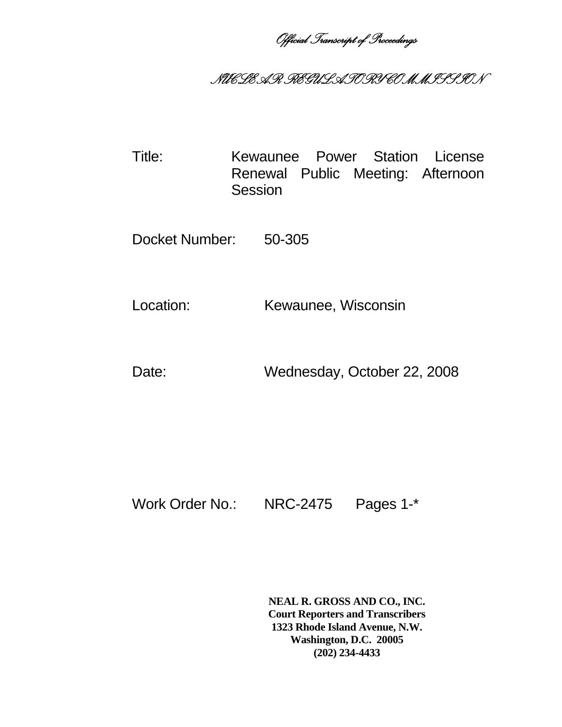*Official Transcript of Proceedings* 

## *NUCLEAR REGULATORY COMMISSION*

Title: Kewaunee Power Station License Renewal Public Meeting: Afternoon **Session** 

Docket Number: 50-305

Location: Kewaunee, Wisconsin

Date: Wednesday, October 22, 2008

Work Order No.: NRC-2475 Pages 1-\*

**NEAL R. GROSS AND CO., INC. Court Reporters and Transcribers 1323 Rhode Island Avenue, N.W. Washington, D.C. 20005 (202) 234-4433**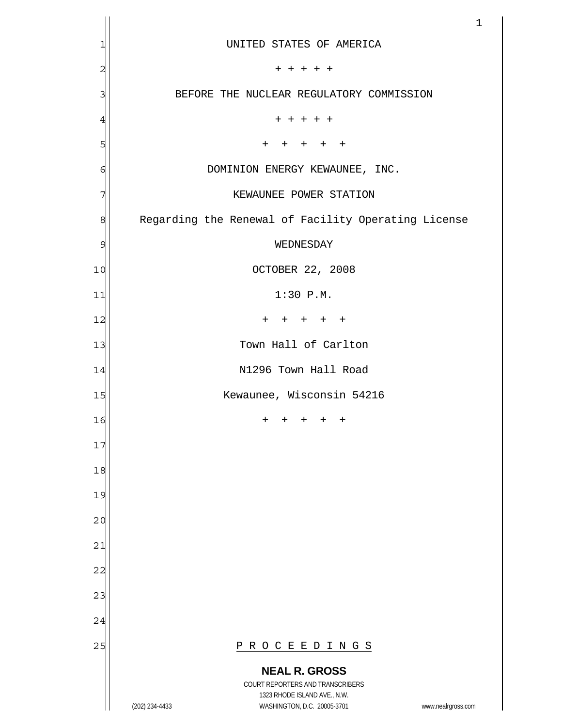|                |                                                                                                                                                                 | $\mathbf 1$ |
|----------------|-----------------------------------------------------------------------------------------------------------------------------------------------------------------|-------------|
| 1              | UNITED STATES OF AMERICA                                                                                                                                        |             |
| $\overline{c}$ | $+ + + + +$                                                                                                                                                     |             |
| 3              | BEFORE THE NUCLEAR REGULATORY COMMISSION                                                                                                                        |             |
| $\overline{4}$ | + + + + +                                                                                                                                                       |             |
| 5              | $\ddot{}$<br>$+$<br>$+$<br>$^{+}$                                                                                                                               |             |
| 6              | DOMINION ENERGY KEWAUNEE, INC.                                                                                                                                  |             |
| 7              | KEWAUNEE POWER STATION                                                                                                                                          |             |
| 8              | Regarding the Renewal of Facility Operating License                                                                                                             |             |
| $\mathcal{G}$  | WEDNESDAY                                                                                                                                                       |             |
| 10             | OCTOBER 22, 2008                                                                                                                                                |             |
| 11             | $1:30$ P.M.                                                                                                                                                     |             |
| 12             | $\mathrm{+}$<br>$^{+}$<br>$+$ $+$<br>$^{+}$                                                                                                                     |             |
| 13             | Town Hall of Carlton                                                                                                                                            |             |
| 14             | N1296 Town Hall Road                                                                                                                                            |             |
| 15             | Kewaunee, Wisconsin 54216                                                                                                                                       |             |
| 16             | $^+$<br>$^+$<br>$^{+}$<br>$\pm$<br>$^+$                                                                                                                         |             |
| 17             |                                                                                                                                                                 |             |
| 18             |                                                                                                                                                                 |             |
| 19             |                                                                                                                                                                 |             |
| 20             |                                                                                                                                                                 |             |
| 21             |                                                                                                                                                                 |             |
| 22             |                                                                                                                                                                 |             |
| 23             |                                                                                                                                                                 |             |
| 24             |                                                                                                                                                                 |             |
| 25             | PROCEEDINGS                                                                                                                                                     |             |
|                | <b>NEAL R. GROSS</b><br>COURT REPORTERS AND TRANSCRIBERS<br>1323 RHODE ISLAND AVE., N.W.<br>(202) 234-4433<br>WASHINGTON, D.C. 20005-3701<br>www.nealrgross.com |             |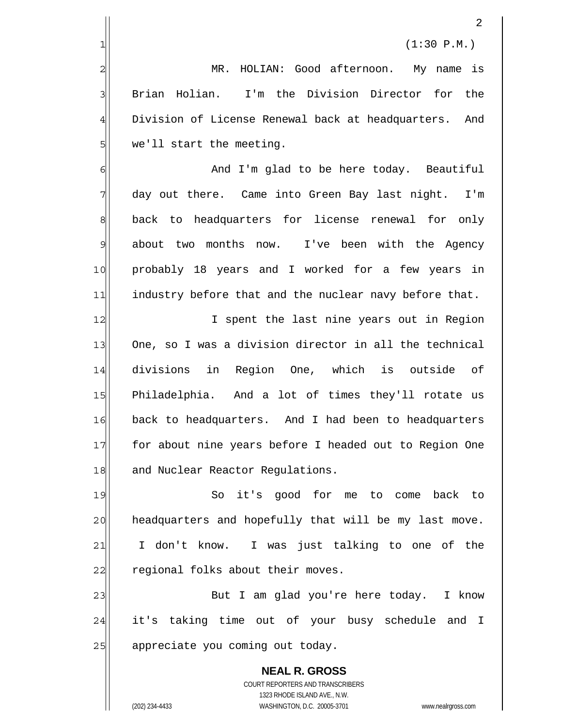$1 \vert$  (1:30 P.M.)

 MR. HOLIAN: Good afternoon. My name is Brian Holian. I'm the Division Director for the Division of License Renewal back at headquarters. And we'll start the meeting.

6 7 8 9 10 11 And I'm glad to be here today. Beautiful day out there. Came into Green Bay last night. I'm back to headquarters for license renewal for only about two months now. I've been with the Agency probably 18 years and I worked for a few years in industry before that and the nuclear navy before that.

12 13 14 15 16 17 18 I spent the last nine years out in Region One, so I was a division director in all the technical divisions in Region One, which is outside of Philadelphia. And a lot of times they'll rotate us back to headquarters. And I had been to headquarters for about nine years before I headed out to Region One and Nuclear Reactor Regulations.

19 20 21 22 So it's good for me to come back to headquarters and hopefully that will be my last move. I don't know. I was just talking to one of the regional folks about their moves.

23 24 25 But I am glad you're here today. I know it's taking time out of your busy schedule and I appreciate you coming out today.

**NEAL R. GROSS** COURT REPORTERS AND TRANSCRIBERS 1323 RHODE ISLAND AVE., N.W. (202) 234-4433 WASHINGTON, D.C. 20005-3701 www.nealrgross.com

2

3

4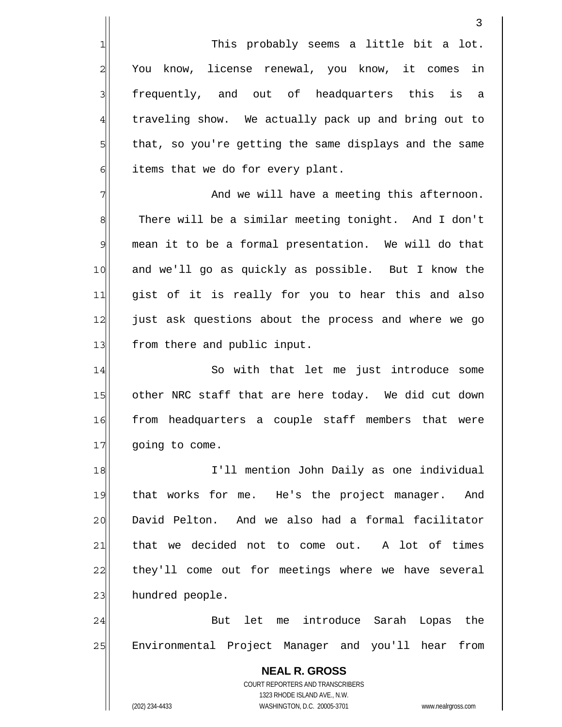**NEAL R. GROSS** COURT REPORTERS AND TRANSCRIBERS 1323 RHODE ISLAND AVE., N.W. 3 This probably seems a little bit a lot. You know, license renewal, you know, it comes in frequently, and out of headquarters this is a traveling show. We actually pack up and bring out to that, so you're getting the same displays and the same items that we do for every plant. 1 2 3 4 5 6 7 8 9 10 11 12 13 14 15 16 17 18 19 20 21 22 23 24 25 And we will have a meeting this afternoon. There will be a similar meeting tonight. And I don't mean it to be a formal presentation. We will do that and we'll go as quickly as possible. But I know the gist of it is really for you to hear this and also just ask questions about the process and where we go from there and public input. So with that let me just introduce some other NRC staff that are here today. We did cut down from headquarters a couple staff members that were going to come. I'll mention John Daily as one individual that works for me. He's the project manager. And David Pelton. And we also had a formal facilitator that we decided not to come out. A lot of times they'll come out for meetings where we have several hundred people. But let me introduce Sarah Lopas the Environmental Project Manager and you'll hear from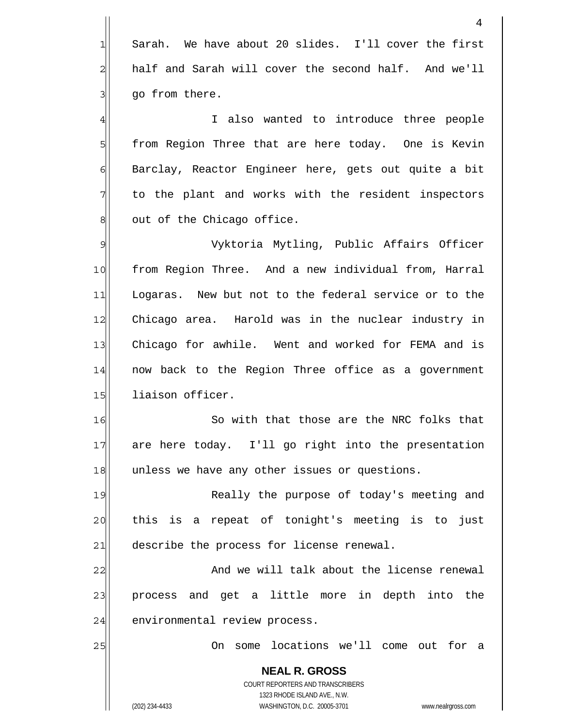**NEAL R. GROSS** COURT REPORTERS AND TRANSCRIBERS 1323 RHODE ISLAND AVE., N.W. (202) 234-4433 WASHINGTON, D.C. 20005-3701 www.nealrgross.com 4 Sarah. We have about 20 slides. I'll cover the first half and Sarah will cover the second half. And we'll go from there. 1 2 3 4 5 6 7 8 9 10 11 12 13 14 15 16 17 18 19 20 21 22 23 24 25 I also wanted to introduce three people from Region Three that are here today. One is Kevin Barclay, Reactor Engineer here, gets out quite a bit to the plant and works with the resident inspectors out of the Chicago office. Vyktoria Mytling, Public Affairs Officer from Region Three. And a new individual from, Harral Logaras. New but not to the federal service or to the Chicago area. Harold was in the nuclear industry in Chicago for awhile. Went and worked for FEMA and is now back to the Region Three office as a government liaison officer. So with that those are the NRC folks that are here today. I'll go right into the presentation unless we have any other issues or questions. Really the purpose of today's meeting and this is a repeat of tonight's meeting is to just describe the process for license renewal. And we will talk about the license renewal process and get a little more in depth into the environmental review process. On some locations we'll come out for a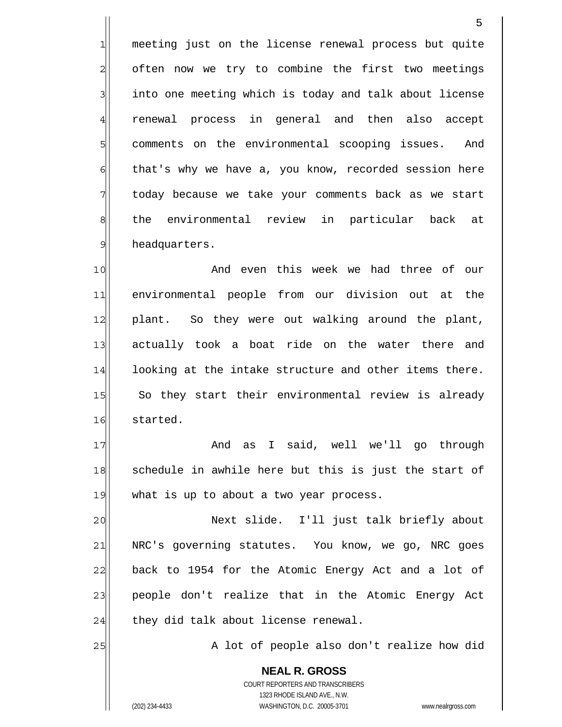meeting just on the license renewal process but quite often now we try to combine the first two meetings into one meeting which is today and talk about license renewal process in general and then also accept comments on the environmental scooping issues. And that's why we have a, you know, recorded session here today because we take your comments back as we start the environmental review in particular back at headquarters. 1 2 5 6 8 9

10 11 12 13 14 15 16 And even this week we had three of our environmental people from our division out at the plant. So they were out walking around the plant, actually took a boat ride on the water there and looking at the intake structure and other items there. So they start their environmental review is already started.

17 18 19 And as I said, well we'll go through schedule in awhile here but this is just the start of what is up to about a two year process.

20 21 22 23 24 Next slide. I'll just talk briefly about NRC's governing statutes. You know, we go, NRC goes back to 1954 for the Atomic Energy Act and a lot of people don't realize that in the Atomic Energy Act they did talk about license renewal.

A lot of people also don't realize how did

**NEAL R. GROSS** COURT REPORTERS AND TRANSCRIBERS 1323 RHODE ISLAND AVE., N.W. (202) 234-4433 WASHINGTON, D.C. 20005-3701 www.nealrgross.com

25

3

4

7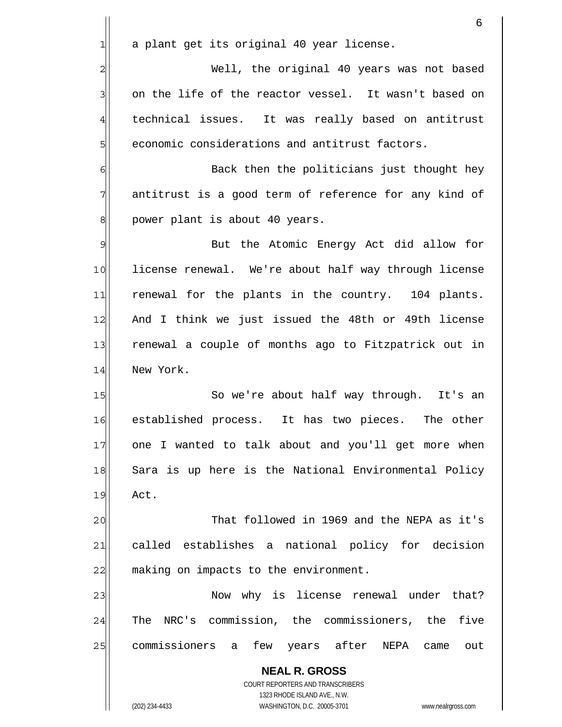|                | 6                                                                                                   |
|----------------|-----------------------------------------------------------------------------------------------------|
| 1              | a plant get its original 40 year license.                                                           |
| $\overline{c}$ | Well, the original 40 years was not based                                                           |
| 3              | on the life of the reactor vessel. It wasn't based on                                               |
| $\overline{4}$ | technical issues. It was really based on antitrust                                                  |
| 5              | economic considerations and antitrust factors.                                                      |
| 6              | Back then the politicians just thought hey                                                          |
| 7              | antitrust is a good term of reference for any kind of                                               |
| 8              | power plant is about 40 years.                                                                      |
| 9              | But the Atomic Energy Act did allow for                                                             |
| 10             | license renewal. We're about half way through license                                               |
| 11             | renewal for the plants in the country. 104 plants.                                                  |
| 12             | And I think we just issued the 48th or 49th license                                                 |
| 13             | renewal a couple of months ago to Fitzpatrick out in                                                |
| 14             | New York.                                                                                           |
| 15             | So we're about half way through. It's an                                                            |
| 16             | established process.<br>It has two pieces. The other                                                |
| 17             | one I wanted to talk about and you'll get more when                                                 |
| 18             | Sara is up here is the National Environmental Policy                                                |
| 19             | Act.                                                                                                |
| 20             | That followed in 1969 and the NEPA as it's                                                          |
| 21             | called establishes a national policy for decision                                                   |
| 22             | making on impacts to the environment.                                                               |
| 23             | Now why is license renewal under that?                                                              |
| 24             | The NRC's commission, the commissioners, the five                                                   |
| 25             | commissioners a few years after NEPA came<br>out                                                    |
|                | <b>NEAL R. GROSS</b>                                                                                |
|                | COURT REPORTERS AND TRANSCRIBERS                                                                    |
|                | 1323 RHODE ISLAND AVE., N.W.<br>(202) 234-4433<br>WASHINGTON, D.C. 20005-3701<br>www.nealrgross.com |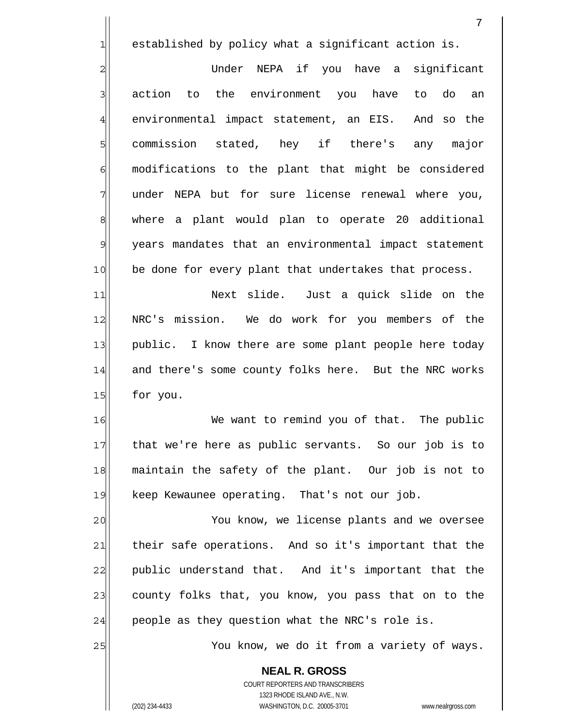1 established by policy what a significant action is.

2 3 4 5 6 7 8 9 10 Under NEPA if you have a significant action to the environment you have to do an environmental impact statement, an EIS. And so the commission stated, hey if there's any major modifications to the plant that might be considered under NEPA but for sure license renewal where you, where a plant would plan to operate 20 additional years mandates that an environmental impact statement be done for every plant that undertakes that process.

11 12 13 14 15 Next slide. Just a quick slide on the NRC's mission. We do work for you members of the public. I know there are some plant people here today and there's some county folks here. But the NRC works for you.

16 17 18 19 We want to remind you of that. The public that we're here as public servants. So our job is to maintain the safety of the plant. Our job is not to keep Kewaunee operating. That's not our job.

20 21 22 23 24 You know, we license plants and we oversee their safe operations. And so it's important that the public understand that. And it's important that the county folks that, you know, you pass that on to the people as they question what the NRC's role is.

You know, we do it from a variety of ways.

**NEAL R. GROSS** COURT REPORTERS AND TRANSCRIBERS 1323 RHODE ISLAND AVE., N.W. (202) 234-4433 WASHINGTON, D.C. 20005-3701 www.nealrgross.com

25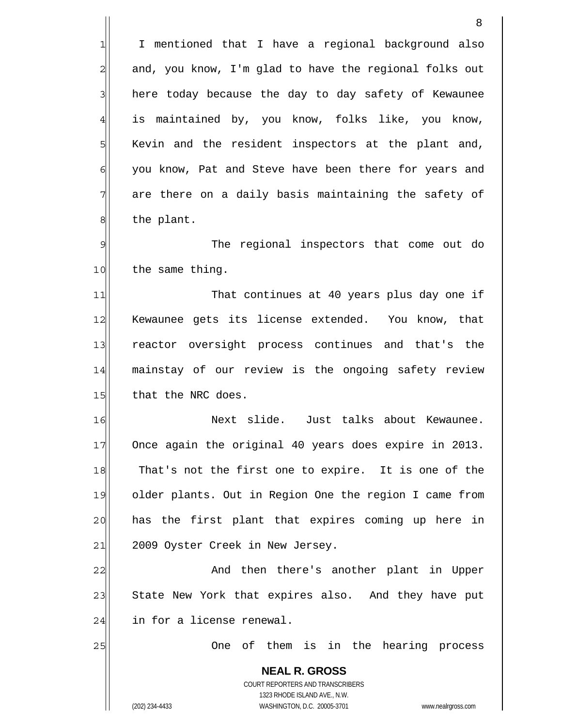I mentioned that I have a regional background also and, you know, I'm glad to have the regional folks out here today because the day to day safety of Kewaunee is maintained by, you know, folks like, you know, Kevin and the resident inspectors at the plant and, you know, Pat and Steve have been there for years and are there on a daily basis maintaining the safety of the plant.

9 10 The regional inspectors that come out do the same thing.

11 12 13 14 15 That continues at 40 years plus day one if Kewaunee gets its license extended. You know, that reactor oversight process continues and that's the mainstay of our review is the ongoing safety review that the NRC does.

16 17 18 19 20 21 Next slide. Just talks about Kewaunee. Once again the original 40 years does expire in 2013. That's not the first one to expire. It is one of the older plants. Out in Region One the region I came from has the first plant that expires coming up here in 2009 Oyster Creek in New Jersey.

22 23 24 And then there's another plant in Upper State New York that expires also. And they have put in for a license renewal.

One of them is in the hearing process

**NEAL R. GROSS** COURT REPORTERS AND TRANSCRIBERS 1323 RHODE ISLAND AVE., N.W. (202) 234-4433 WASHINGTON, D.C. 20005-3701 www.nealrgross.com

25

1

2

3

4

5

6

7

8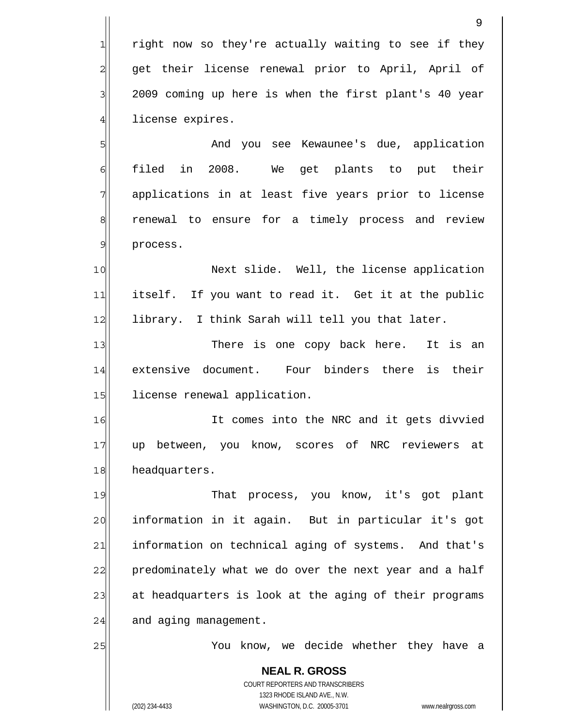**NEAL R. GROSS** COURT REPORTERS AND TRANSCRIBERS 1323 RHODE ISLAND AVE., N.W. right now so they're actually waiting to see if they get their license renewal prior to April, April of 2009 coming up here is when the first plant's 40 year license expires. 1 2 3 4 5 6 7 8 9 10 11 12 13 14 15 16 17 18 19 20 21 22 23 24 25 And you see Kewaunee's due, application filed in 2008. We get plants to put their applications in at least five years prior to license renewal to ensure for a timely process and review process. Next slide. Well, the license application itself. If you want to read it. Get it at the public library. I think Sarah will tell you that later. There is one copy back here. It is an extensive document. Four binders there is their license renewal application. It comes into the NRC and it gets divvied up between, you know, scores of NRC reviewers at headquarters. That process, you know, it's got plant information in it again. But in particular it's got information on technical aging of systems. And that's predominately what we do over the next year and a half at headquarters is look at the aging of their programs and aging management. You know, we decide whether they have a

(202) 234-4433 WASHINGTON, D.C. 20005-3701 www.nealrgross.com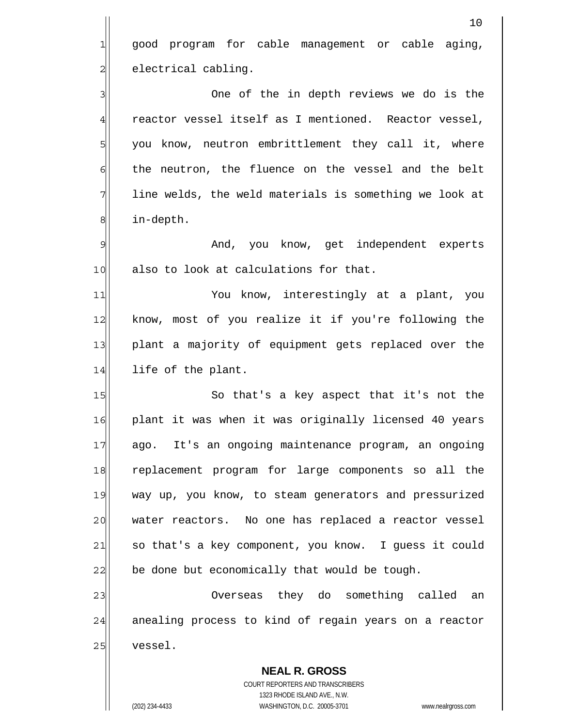|                | 10                                                       |
|----------------|----------------------------------------------------------|
| $\mathbf{1}$   | good program for cable management or cable aging,        |
| $\overline{c}$ | electrical cabling.                                      |
| 3              | One of the in depth reviews we do is the                 |
| $\overline{4}$ | reactor vessel itself as I mentioned. Reactor vessel,    |
| 5              | you know, neutron embrittlement they call it, where      |
| 6              | the neutron, the fluence on the vessel and the belt      |
| 7              | line welds, the weld materials is something we look at   |
| 8              | in-depth.                                                |
| $\mathcal{G}$  | And, you know, get independent experts                   |
| 10             | also to look at calculations for that.                   |
| 11             | You know, interestingly at a plant, you                  |
| 12             | know, most of you realize it if you're following the     |
| 13             | plant a majority of equipment gets replaced over the     |
| 14             | life of the plant.                                       |
| 15             | So that's a key aspect that it's not the                 |
| 16             | plant it was when it was originally licensed 40 years    |
| 17             | ago. It's an ongoing maintenance program, an ongoing     |
| 18             | replacement program for large components so all the      |
| 19             | way up, you know, to steam generators and pressurized    |
| 20             | water reactors. No one has replaced a reactor vessel     |
| 21             | so that's a key component, you know. I guess it could    |
| 22             | be done but economically that would be tough.            |
| 23             | Overseas they do something called an                     |
| 24             | anealing process to kind of regain years on a reactor    |
| 25             | vessel.                                                  |
|                | <b>NEAL R. GROSS</b><br>COURT REPORTERS AND TRANSCRIBERS |

1323 RHODE ISLAND AVE., N.W.

 $\prod$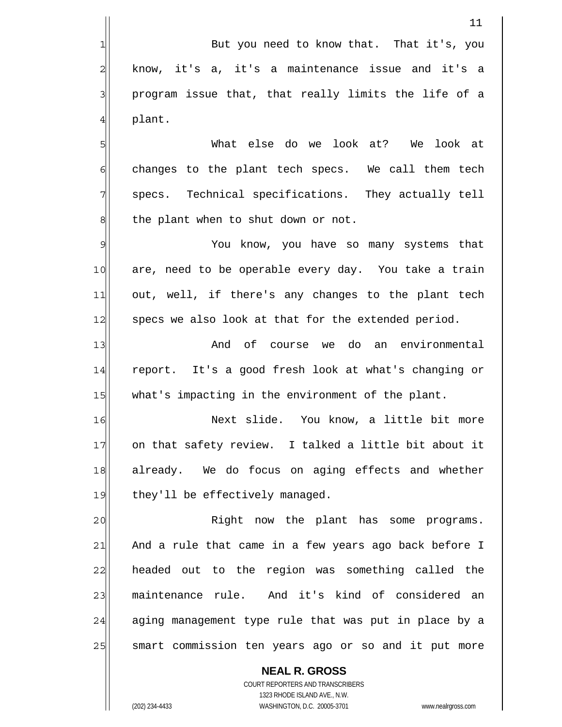But you need to know that. That it's, you know, it's a, it's a maintenance issue and it's a program issue that, that really limits the life of a plant.

5 6 7 8 What else do we look at? We look at changes to the plant tech specs. We call them tech specs. Technical specifications. They actually tell the plant when to shut down or not.

9 10 11 12 You know, you have so many systems that are, need to be operable every day. You take a train out, well, if there's any changes to the plant tech specs we also look at that for the extended period.

13 14 15 And of course we do an environmental report. It's a good fresh look at what's changing or what's impacting in the environment of the plant.

16 17 18 19 Next slide. You know, a little bit more on that safety review. I talked a little bit about it already. We do focus on aging effects and whether they'll be effectively managed.

20 21 22 23 24 25 Right now the plant has some programs. And a rule that came in a few years ago back before I headed out to the region was something called the maintenance rule. And it's kind of considered an aging management type rule that was put in place by a smart commission ten years ago or so and it put more

COURT REPORTERS AND TRANSCRIBERS 1323 RHODE ISLAND AVE., N.W. (202) 234-4433 WASHINGTON, D.C. 20005-3701 www.nealrgross.com

**NEAL R. GROSS**

1

2

3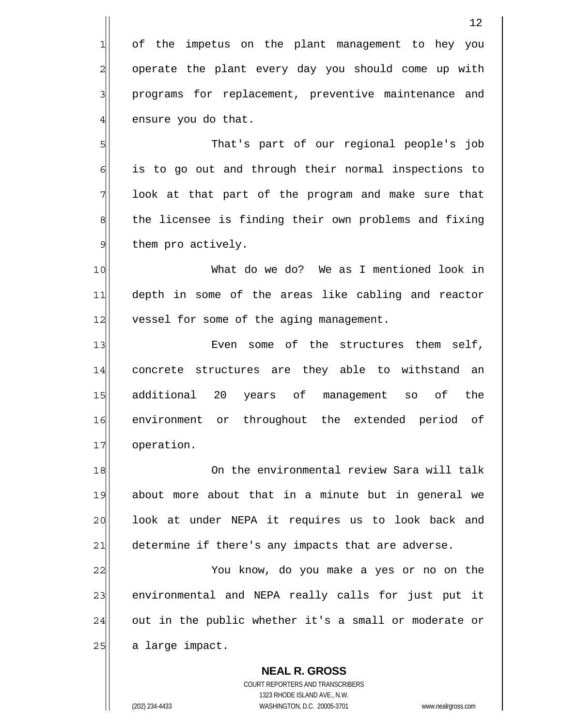2 of the impetus on the plant management to hey you operate the plant every day you should come up with programs for replacement, preventive maintenance and ensure you do that.

 That's part of our regional people's job is to go out and through their normal inspections to look at that part of the program and make sure that the licensee is finding their own problems and fixing them pro actively.

10 11 12 What do we do? We as I mentioned look in depth in some of the areas like cabling and reactor vessel for some of the aging management.

13 14 15 16 17 Even some of the structures them self, concrete structures are they able to withstand an additional 20 years of management so of the environment or throughout the extended period of operation.

18 19 20 21 On the environmental review Sara will talk about more about that in a minute but in general we look at under NEPA it requires us to look back and determine if there's any impacts that are adverse.

22 23 24 25 You know, do you make a yes or no on the environmental and NEPA really calls for just put it out in the public whether it's a small or moderate or a large impact.

**NEAL R. GROSS** COURT REPORTERS AND TRANSCRIBERS 1323 RHODE ISLAND AVE., N.W. (202) 234-4433 WASHINGTON, D.C. 20005-3701 www.nealrgross.com

1

3

4

5

6

7

8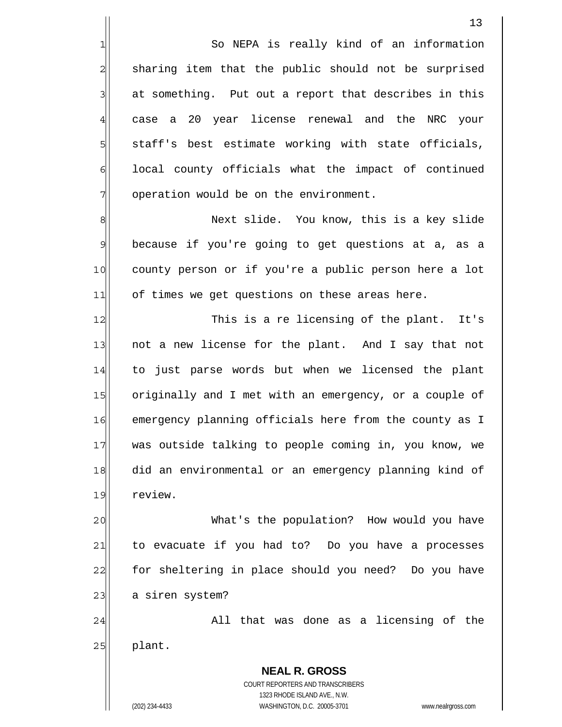So NEPA is really kind of an information sharing item that the public should not be surprised at something. Put out a report that describes in this case a 20 year license renewal and the NRC your staff's best estimate working with state officials, local county officials what the impact of continued operation would be on the environment.

8 9 10 11 Next slide. You know, this is a key slide because if you're going to get questions at a, as a county person or if you're a public person here a lot of times we get questions on these areas here.

12 13 14 15 16 17 18 19 This is a re licensing of the plant. It's not a new license for the plant. And I say that not to just parse words but when we licensed the plant originally and I met with an emergency, or a couple of emergency planning officials here from the county as I was outside talking to people coming in, you know, we did an environmental or an emergency planning kind of review.

20 21 22 23 What's the population? How would you have to evacuate if you had to? Do you have a processes for sheltering in place should you need? Do you have a siren system?

24 25 All that was done as a licensing of the plant.

> **NEAL R. GROSS** COURT REPORTERS AND TRANSCRIBERS 1323 RHODE ISLAND AVE., N.W. (202) 234-4433 WASHINGTON, D.C. 20005-3701 www.nealrgross.com

1

2

3

4

5

6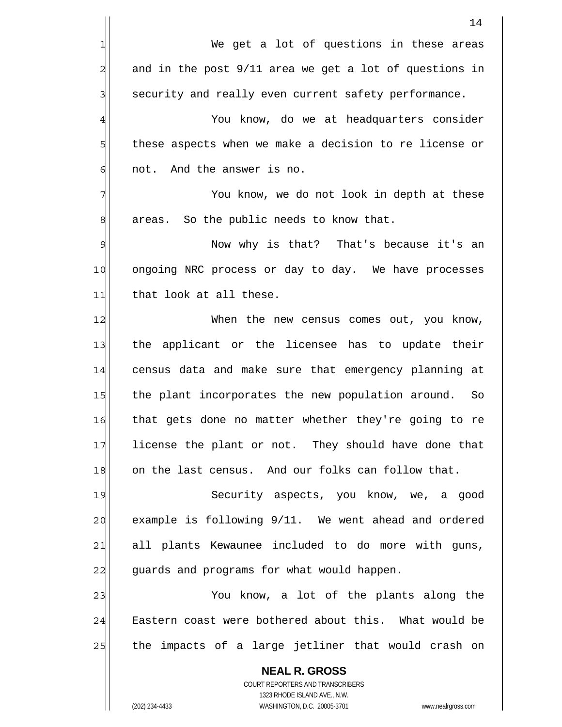|               | 14                                                                                                  |
|---------------|-----------------------------------------------------------------------------------------------------|
| 1             | We get a lot of questions in these areas                                                            |
| $\mathbf{2}$  | and in the post 9/11 area we get a lot of questions in                                              |
| 3             | security and really even current safety performance.                                                |
| 4             | You know, do we at headquarters consider                                                            |
| 5             | these aspects when we make a decision to re license or                                              |
| 6             | not. And the answer is no.                                                                          |
| 7             | You know, we do not look in depth at these                                                          |
| 8             | areas. So the public needs to know that.                                                            |
| $\mathcal{Q}$ | Now why is that? That's because it's an                                                             |
| 10            | ongoing NRC process or day to day. We have processes                                                |
| 11            | that look at all these.                                                                             |
| 12            | When the new census comes out, you know,                                                            |
| 13            | the applicant or the licensee has to update their                                                   |
| 14            | census data and make sure that emergency planning at                                                |
| 15            | the plant incorporates the new population around.<br>So                                             |
| 16            | that gets done no matter whether they're going to re                                                |
| 17            | license the plant or not. They should have done that                                                |
| 18            | on the last census. And our folks can follow that.                                                  |
| 19            | Security aspects, you know, we, a good                                                              |
| 20            | example is following 9/11. We went ahead and ordered                                                |
| 21            | all plants Kewaunee included to do more with guns,                                                  |
| 22            | guards and programs for what would happen.                                                          |
| 23            | You know, a lot of the plants along the                                                             |
| 24            | Eastern coast were bothered about this. What would be                                               |
| 25            | the impacts of a large jetliner that would crash on                                                 |
|               | <b>NEAL R. GROSS</b>                                                                                |
|               | COURT REPORTERS AND TRANSCRIBERS                                                                    |
|               | 1323 RHODE ISLAND AVE., N.W.<br>WASHINGTON, D.C. 20005-3701<br>(202) 234-4433<br>www.nealrgross.com |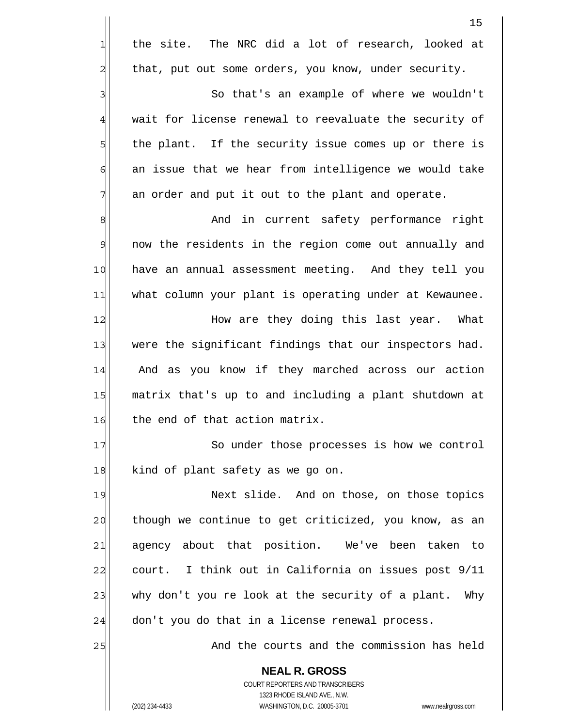|                | 15                                                                                                  |
|----------------|-----------------------------------------------------------------------------------------------------|
| $1\,$          | the site. The NRC did a lot of research, looked at                                                  |
| $\overline{c}$ | that, put out some orders, you know, under security.                                                |
| 3              | So that's an example of where we wouldn't                                                           |
| $\overline{4}$ | wait for license renewal to reevaluate the security of                                              |
| 5              | the plant. If the security issue comes up or there is                                               |
| 6              | an issue that we hear from intelligence we would take                                               |
| 7              | an order and put it out to the plant and operate.                                                   |
| 8              | And in current safety performance right                                                             |
| $\mathcal{Q}$  | now the residents in the region come out annually and                                               |
| 10             | have an annual assessment meeting. And they tell you                                                |
| 11             | what column your plant is operating under at Kewaunee.                                              |
| 12             | How are they doing this last year. What                                                             |
| 13             | were the significant findings that our inspectors had.                                              |
| 14             | And as you know if they marched across our action                                                   |
| 15             | matrix that's up to and including a plant shutdown at                                               |
| 16             | the end of that action matrix.                                                                      |
| 17             | So under those processes is how we control                                                          |
| 18             | kind of plant safety as we go on.                                                                   |
| 19             | Next slide. And on those, on those topics                                                           |
| 20             | though we continue to get criticized, you know, as an                                               |
| 21             | agency about that position. We've been taken to                                                     |
| 22             | court. I think out in California on issues post 9/11                                                |
| 23             | why don't you re look at the security of a plant. Why                                               |
| 24             | don't you do that in a license renewal process.                                                     |
| 25             | And the courts and the commission has held                                                          |
|                | <b>NEAL R. GROSS</b>                                                                                |
|                | COURT REPORTERS AND TRANSCRIBERS                                                                    |
|                | 1323 RHODE ISLAND AVE., N.W.<br>(202) 234-4433<br>WASHINGTON, D.C. 20005-3701<br>www.nealrgross.com |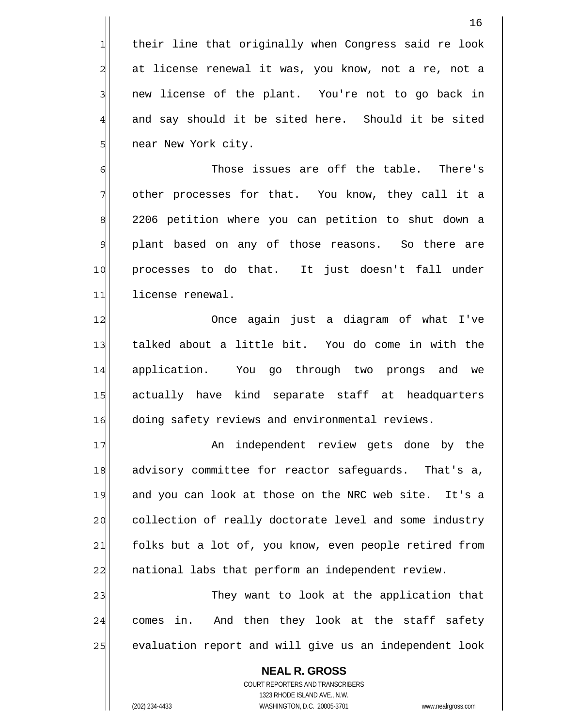their line that originally when Congress said re look at license renewal it was, you know, not a re, not a new license of the plant. You're not to go back in and say should it be sited here. Should it be sited near New York city.

6 7 8 9 10 11 Those issues are off the table. There's other processes for that. You know, they call it a 2206 petition where you can petition to shut down a plant based on any of those reasons. So there are processes to do that. It just doesn't fall under license renewal.

12 13 14 15 16 Once again just a diagram of what I've talked about a little bit. You do come in with the application. You go through two prongs and we actually have kind separate staff at headquarters doing safety reviews and environmental reviews.

17 18 19 20 21 22 An independent review gets done by the advisory committee for reactor safeguards. That's a, and you can look at those on the NRC web site. It's a collection of really doctorate level and some industry folks but a lot of, you know, even people retired from national labs that perform an independent review.

23 24 25 They want to look at the application that comes in. And then they look at the staff safety evaluation report and will give us an independent look

**NEAL R. GROSS** COURT REPORTERS AND TRANSCRIBERS 1323 RHODE ISLAND AVE., N.W. (202) 234-4433 WASHINGTON, D.C. 20005-3701 www.nealrgross.com

1

2

3

4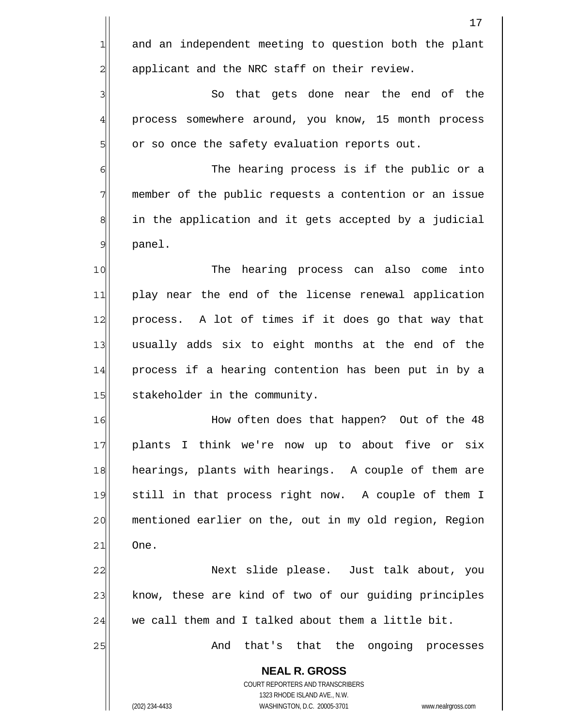|                | 17                                                                                                  |
|----------------|-----------------------------------------------------------------------------------------------------|
| $\mathbf{1}$   | and an independent meeting to question both the plant                                               |
| $\overline{c}$ | applicant and the NRC staff on their review.                                                        |
| 3              | So that gets done near the end of the                                                               |
| $\frac{4}{3}$  | process somewhere around, you know, 15 month process                                                |
| 5              | or so once the safety evaluation reports out.                                                       |
| 6              | The hearing process is if the public or a                                                           |
| 7              | member of the public requests a contention or an issue                                              |
| $\,8\,$        | in the application and it gets accepted by a judicial                                               |
| $\overline{9}$ | panel.                                                                                              |
| 10             | hearing process can also come<br>The<br>into                                                        |
| 11             | play near the end of the license renewal application                                                |
| 12             | process. A lot of times if it does go that way that                                                 |
| 13             | usually adds six to eight months at the end of the                                                  |
| 14             | process if a hearing contention has been put in by a                                                |
| 15             | stakeholder in the community.                                                                       |
| 16             | How often does that happen? Out of the 48                                                           |
| 17             | plants I think we're now up to about five or six                                                    |
| 18             | hearings, plants with hearings. A couple of them are                                                |
| 19             | still in that process right now. A couple of them I                                                 |
| 20             | mentioned earlier on the, out in my old region, Region                                              |
| 21             | One.                                                                                                |
| 22             | Next slide please. Just talk about, you                                                             |
| 23             | know, these are kind of two of our guiding principles                                               |
| 24             | we call them and I talked about them a little bit.                                                  |
| 25             | And that's that the ongoing processes                                                               |
|                | <b>NEAL R. GROSS</b><br>COURT REPORTERS AND TRANSCRIBERS                                            |
|                | 1323 RHODE ISLAND AVE., N.W.<br>(202) 234-4433<br>WASHINGTON, D.C. 20005-3701<br>www.nealrgross.com |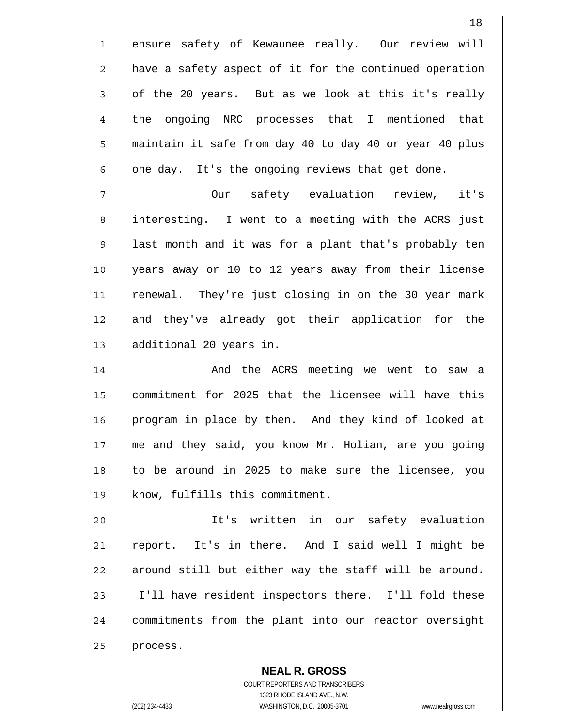ensure safety of Kewaunee really. Our review will have a safety aspect of it for the continued operation of the 20 years. But as we look at this it's really the ongoing NRC processes that I mentioned that maintain it safe from day 40 to day 40 or year 40 plus one day. It's the ongoing reviews that get done.

7 8 9 10 11 12 13 Our safety evaluation review, it's interesting. I went to a meeting with the ACRS just last month and it was for a plant that's probably ten years away or 10 to 12 years away from their license renewal. They're just closing in on the 30 year mark and they've already got their application for the additional 20 years in.

14 15 16 17 18 19 And the ACRS meeting we went to saw a commitment for 2025 that the licensee will have this program in place by then. And they kind of looked at me and they said, you know Mr. Holian, are you going to be around in 2025 to make sure the licensee, you know, fulfills this commitment.

20 21 22 23 24 25 It's written in our safety evaluation report. It's in there. And I said well I might be around still but either way the staff will be around. I'll have resident inspectors there. I'll fold these commitments from the plant into our reactor oversight process.

**NEAL R. GROSS** COURT REPORTERS AND TRANSCRIBERS 1323 RHODE ISLAND AVE., N.W. (202) 234-4433 WASHINGTON, D.C. 20005-3701 www.nealrgross.com

1

2

3

4

5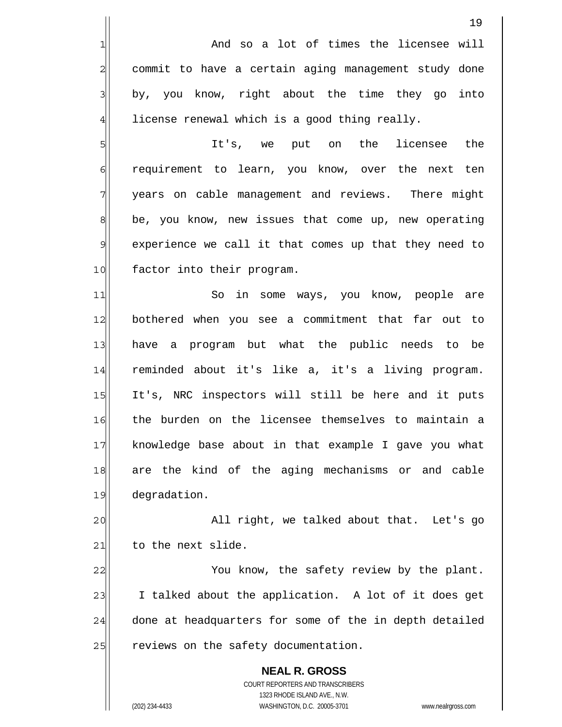**NEAL R. GROSS** COURT REPORTERS AND TRANSCRIBERS 1323 RHODE ISLAND AVE., N.W. 19 1 2 3 4 5 6 7 8 9 10 11 12 13 14 15 16 17 18 19 20 21 22 23 24 25 And so a lot of times the licensee will commit to have a certain aging management study done by, you know, right about the time they go into license renewal which is a good thing really. It's, we put on the licensee the requirement to learn, you know, over the next ten years on cable management and reviews. There might be, you know, new issues that come up, new operating experience we call it that comes up that they need to factor into their program. So in some ways, you know, people are bothered when you see a commitment that far out to have a program but what the public needs to be reminded about it's like a, it's a living program. It's, NRC inspectors will still be here and it puts the burden on the licensee themselves to maintain a knowledge base about in that example I gave you what are the kind of the aging mechanisms or and cable degradation. All right, we talked about that. Let's go to the next slide. You know, the safety review by the plant. I talked about the application. A lot of it does get done at headquarters for some of the in depth detailed reviews on the safety documentation.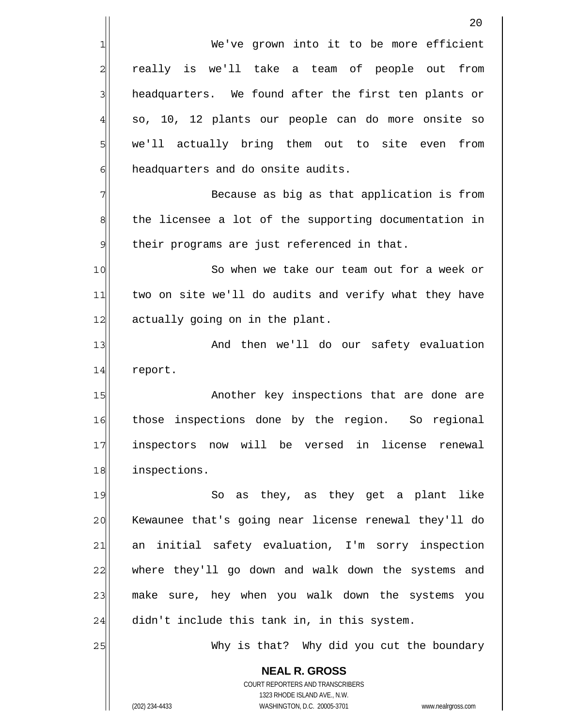**NEAL R. GROSS** 1 2 3 4 5 6 7 8 9 10 11 12 13 14 15 16 17 18 19 20 21 22 23 24 25 We've grown into it to be more efficient really is we'll take a team of people out from headquarters. We found after the first ten plants or so, 10, 12 plants our people can do more onsite so we'll actually bring them out to site even from headquarters and do onsite audits. Because as big as that application is from the licensee a lot of the supporting documentation in their programs are just referenced in that. So when we take our team out for a week or two on site we'll do audits and verify what they have actually going on in the plant. And then we'll do our safety evaluation report. Another key inspections that are done are those inspections done by the region. So regional inspectors now will be versed in license renewal inspections. So as they, as they get a plant like Kewaunee that's going near license renewal they'll do an initial safety evaluation, I'm sorry inspection where they'll go down and walk down the systems and make sure, hey when you walk down the systems you didn't include this tank in, in this system. Why is that? Why did you cut the boundary

> COURT REPORTERS AND TRANSCRIBERS 1323 RHODE ISLAND AVE., N.W.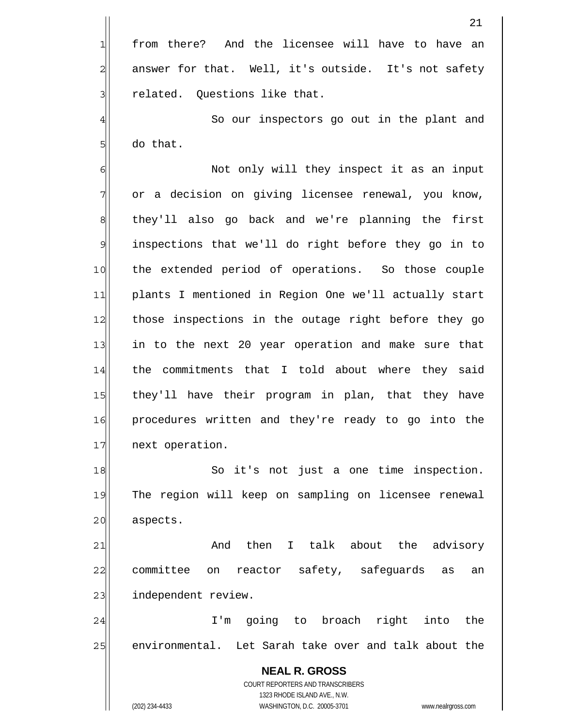from there? And the licensee will have to have an answer for that. Well, it's outside. It's not safety related. Questions like that. So our inspectors go out in the plant and

6 7 8 9 10 11 12 13 14 15 16 17 Not only will they inspect it as an input or a decision on giving licensee renewal, you know, they'll also go back and we're planning the first inspections that we'll do right before they go in to the extended period of operations. So those couple plants I mentioned in Region One we'll actually start those inspections in the outage right before they go in to the next 20 year operation and make sure that the commitments that I told about where they said they'll have their program in plan, that they have procedures written and they're ready to go into the next operation.

18 19 20 So it's not just a one time inspection. The region will keep on sampling on licensee renewal aspects.

21 22 23 And then I talk about the advisory committee on reactor safety, safeguards as an independent review.

24 25 I'm going to broach right into the environmental. Let Sarah take over and talk about the

**NEAL R. GROSS** COURT REPORTERS AND TRANSCRIBERS 1323 RHODE ISLAND AVE., N.W. (202) 234-4433 WASHINGTON, D.C. 20005-3701 www.nealrgross.com

1

2

3

4

5

do that.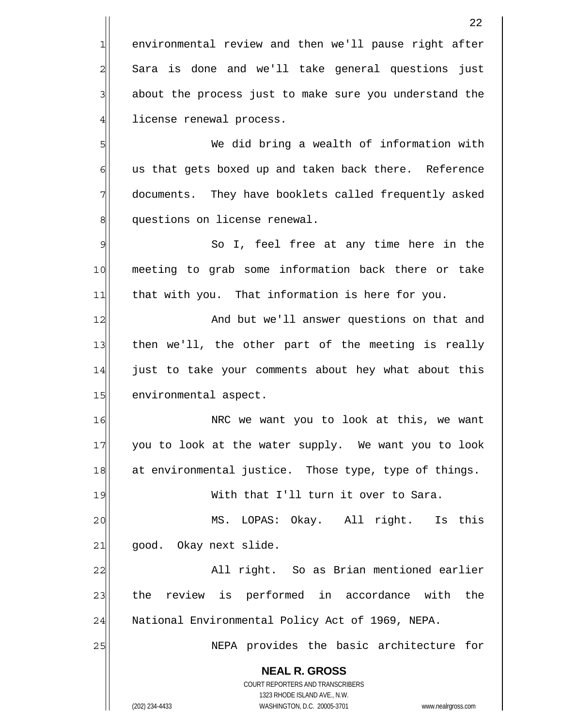**NEAL R. GROSS** COURT REPORTERS AND TRANSCRIBERS 1323 RHODE ISLAND AVE., N.W. 22 1 2 3 4 5 6 7 8 9 10 11 12 13 14 15 16 17 18 19 20 21 22 23 24 25 environmental review and then we'll pause right after Sara is done and we'll take general questions just about the process just to make sure you understand the license renewal process. We did bring a wealth of information with us that gets boxed up and taken back there. Reference documents. They have booklets called frequently asked questions on license renewal. So I, feel free at any time here in the meeting to grab some information back there or take that with you. That information is here for you. And but we'll answer questions on that and then we'll, the other part of the meeting is really just to take your comments about hey what about this environmental aspect. NRC we want you to look at this, we want you to look at the water supply. We want you to look at environmental justice. Those type, type of things. With that I'll turn it over to Sara. MS. LOPAS: Okay. All right. Is this good. Okay next slide. All right. So as Brian mentioned earlier the review is performed in accordance with the National Environmental Policy Act of 1969, NEPA. NEPA provides the basic architecture for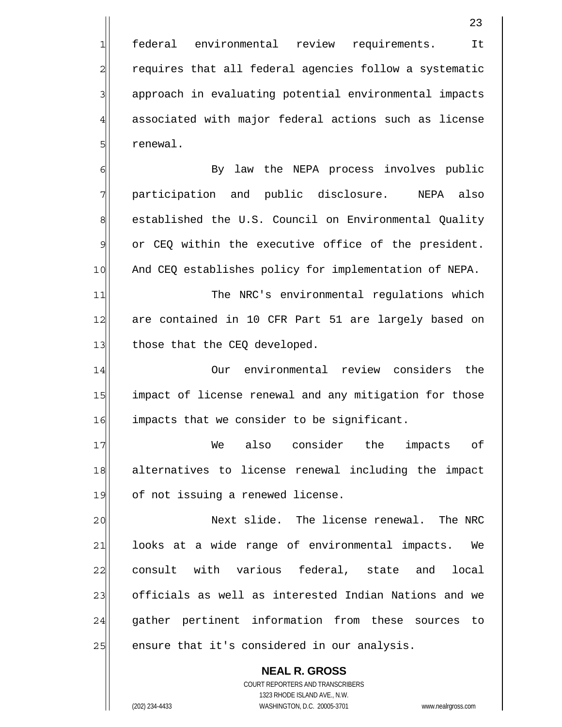federal environmental review requirements. It requires that all federal agencies follow a systematic approach in evaluating potential environmental impacts associated with major federal actions such as license renewal.

1

2

3

4

5

6

9

7 8 10 By law the NEPA process involves public participation and public disclosure. NEPA also established the U.S. Council on Environmental Quality or CEQ within the executive office of the president. And CEQ establishes policy for implementation of NEPA.

11 12 13 The NRC's environmental regulations which are contained in 10 CFR Part 51 are largely based on those that the CEQ developed.

14 15 16 Our environmental review considers the impact of license renewal and any mitigation for those impacts that we consider to be significant.

17 18 19 We also consider the impacts of alternatives to license renewal including the impact of not issuing a renewed license.

20 21 22 23 24 25 Next slide. The license renewal. The NRC looks at a wide range of environmental impacts. We consult with various federal, state and local officials as well as interested Indian Nations and we gather pertinent information from these sources to ensure that it's considered in our analysis.

> **NEAL R. GROSS** COURT REPORTERS AND TRANSCRIBERS 1323 RHODE ISLAND AVE., N.W.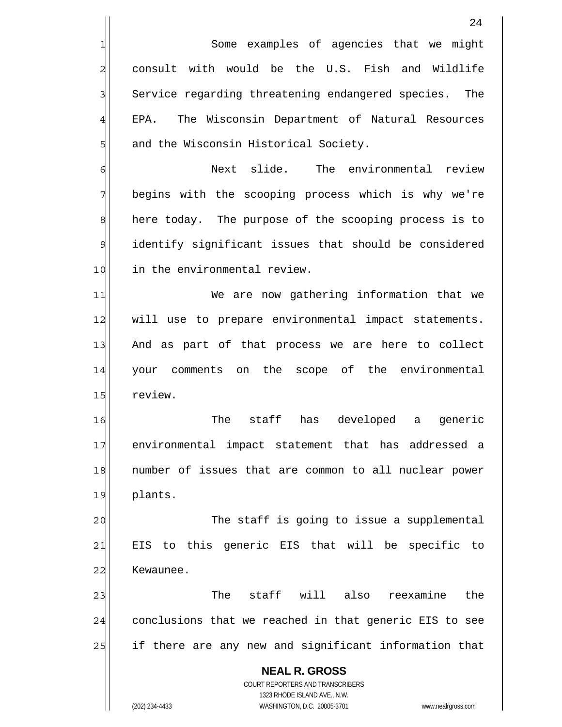|                | 24                                                                                                  |
|----------------|-----------------------------------------------------------------------------------------------------|
| 1              | Some examples of agencies that we might                                                             |
| $\overline{c}$ | consult with would be the U.S. Fish and Wildlife                                                    |
| 3              | Service regarding threatening endangered species. The                                               |
| $\overline{4}$ | The Wisconsin Department of Natural Resources<br>EPA.                                               |
| 5              | and the Wisconsin Historical Society.                                                               |
| 6              | Next slide.<br>The environmental review                                                             |
| 7              | begins with the scooping process which is why we're                                                 |
| 8              | here today. The purpose of the scooping process is to                                               |
| 9              | identify significant issues that should be considered                                               |
| 10             | in the environmental review.                                                                        |
| 11             | We are now gathering information that we                                                            |
| 12             | will use to prepare environmental impact statements.                                                |
| 13             | And as part of that process we are here to collect                                                  |
| 14             | your comments on the scope of the environmental                                                     |
| 15             | review.                                                                                             |
| 16             | The<br>staff<br>developed<br>has<br>generic<br>a                                                    |
| 17             | environmental impact statement that has addressed a                                                 |
| 18             | number of issues that are common to all nuclear power                                               |
| 19             | plants.                                                                                             |
| 20             | The staff is going to issue a supplemental                                                          |
| 21             | EIS to this generic EIS that will be specific to                                                    |
| 22             | Kewaunee.                                                                                           |
| 23             | The staff will also reexamine<br>the                                                                |
| 24             | conclusions that we reached in that generic EIS to see                                              |
| 25             | if there are any new and significant information that                                               |
|                | <b>NEAL R. GROSS</b>                                                                                |
|                | <b>COURT REPORTERS AND TRANSCRIBERS</b>                                                             |
|                | 1323 RHODE ISLAND AVE., N.W.<br>(202) 234-4433<br>WASHINGTON, D.C. 20005-3701<br>www.nealrgross.com |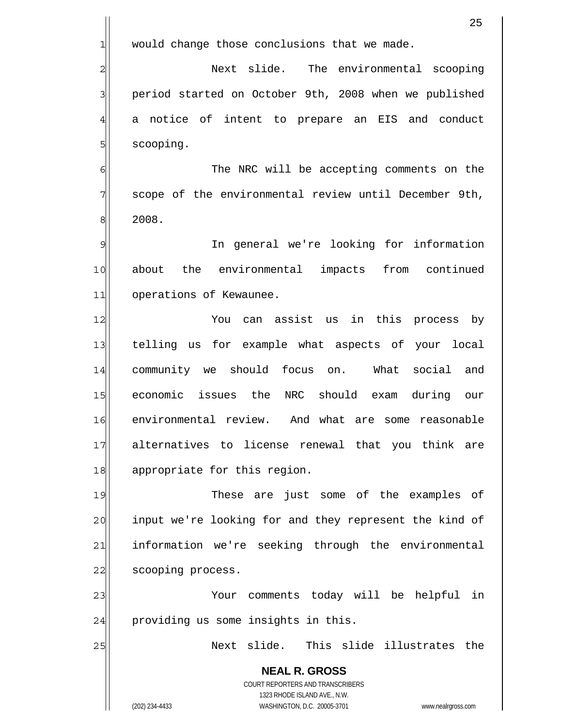|                | 25                                                                                                  |
|----------------|-----------------------------------------------------------------------------------------------------|
| 1              | would change those conclusions that we made.                                                        |
| $\overline{a}$ | Next slide. The environmental scooping                                                              |
| 3              | period started on October 9th, 2008 when we published                                               |
| $\overline{4}$ | notice of intent to prepare an EIS and conduct<br>a                                                 |
| 5              | scooping.                                                                                           |
| 6              | The NRC will be accepting comments on the                                                           |
| 7              | scope of the environmental review until December 9th,                                               |
| 8              | 2008.                                                                                               |
| 9              | In general we're looking for information                                                            |
| 10             | about the environmental impacts from continued                                                      |
| 11             | operations of Kewaunee.                                                                             |
| 12             | You can assist us in this process by                                                                |
| 13             | telling us for example what aspects of your local                                                   |
| 14             | community we should focus on. What social<br>and                                                    |
| 15             | economic issues the<br>NRC should exam<br>during<br>our                                             |
| 16             | environmental review. And what are some reasonable                                                  |
| 17             | alternatives to license renewal that you think are                                                  |
| 18             | appropriate for this region.                                                                        |
| 19             | These are just some of the examples of                                                              |
| 20             | input we're looking for and they represent the kind of                                              |
| 21             | information we're seeking through the environmental                                                 |
| 22             | scooping process.                                                                                   |
| 23             | Your comments today will be helpful in                                                              |
| 24             | providing us some insights in this.                                                                 |
| 25             | Next slide. This slide illustrates the                                                              |
|                | <b>NEAL R. GROSS</b><br>COURT REPORTERS AND TRANSCRIBERS                                            |
|                | 1323 RHODE ISLAND AVE., N.W.<br>(202) 234-4433<br>WASHINGTON, D.C. 20005-3701<br>www.nealrgross.com |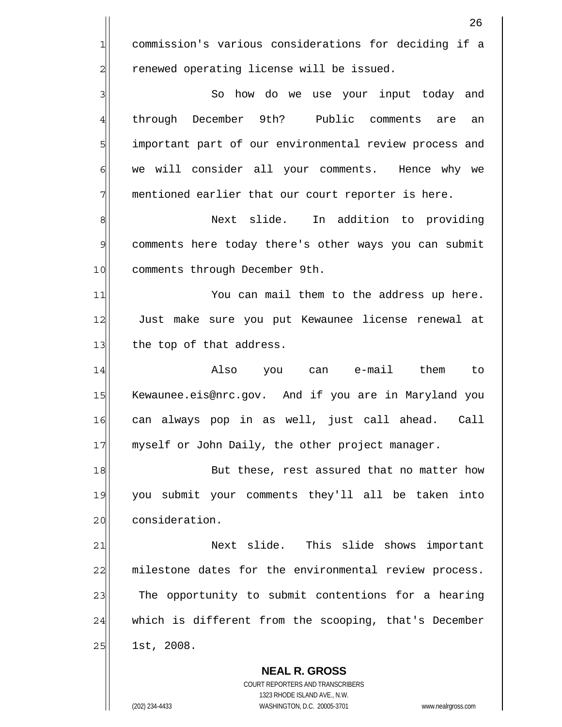**NEAL R. GROSS** 26 1 2 3 4 5 6 7 8 9 10 11 12 13 14 15 16 17 18 19 20 21 22 23 24 25 commission's various considerations for deciding if a renewed operating license will be issued. So how do we use your input today and through December 9th? Public comments are an important part of our environmental review process and we will consider all your comments. Hence why we mentioned earlier that our court reporter is here. Next slide. In addition to providing comments here today there's other ways you can submit comments through December 9th. You can mail them to the address up here. Just make sure you put Kewaunee license renewal at the top of that address. Also you can e-mail them to Kewaunee.eis@nrc.gov. And if you are in Maryland you can always pop in as well, just call ahead. Call myself or John Daily, the other project manager. But these, rest assured that no matter how you submit your comments they'll all be taken into consideration. Next slide. This slide shows important milestone dates for the environmental review process. The opportunity to submit contentions for a hearing which is different from the scooping, that's December 1st, 2008.

> COURT REPORTERS AND TRANSCRIBERS 1323 RHODE ISLAND AVE., N.W.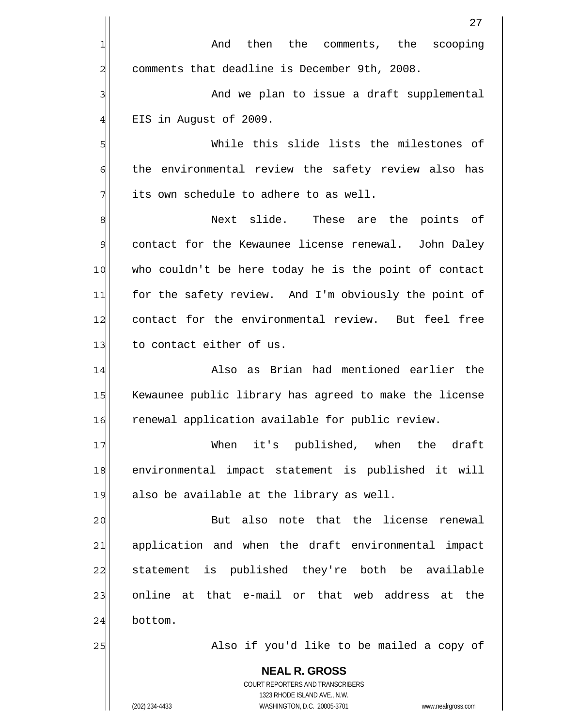|                | 27                                                                  |
|----------------|---------------------------------------------------------------------|
| 1              | then the comments, the<br>And<br>scooping                           |
| $\overline{c}$ | comments that deadline is December 9th, 2008.                       |
| 3              | And we plan to issue a draft supplemental                           |
| $\overline{4}$ | EIS in August of 2009.                                              |
| 5              | While this slide lists the milestones of                            |
| 6              | the environmental review the safety review also has                 |
| 7              | its own schedule to adhere to as well.                              |
| 8              | Next slide.<br>These are the points of                              |
| $\mathcal{Q}$  | contact for the Kewaunee license renewal. John Daley                |
| 10             | who couldn't be here today he is the point of contact               |
| 11             | for the safety review. And I'm obviously the point of               |
| 12             | contact for the environmental review. But feel free                 |
| 13             | to contact either of us.                                            |
| 14             | Also as Brian had mentioned earlier the                             |
| 15             | Kewaunee public library has agreed to make the license              |
| 16             | renewal application available for public review.                    |
| 17             | When it's published, when the draft                                 |
| 18             | environmental impact statement is published it will                 |
| 19             | also be available at the library as well.                           |
| 20             | But also note that the license renewal                              |
| 21             | application and when the draft environmental impact                 |
| 22             | statement is published they're both be available                    |
| 23             | online at that e-mail or that web address at the                    |
| 24             | bottom.                                                             |
| 25             | Also if you'd like to be mailed a copy of                           |
|                | <b>NEAL R. GROSS</b>                                                |
|                | COURT REPORTERS AND TRANSCRIBERS<br>1323 RHODE ISLAND AVE., N.W.    |
|                | (202) 234-4433<br>WASHINGTON, D.C. 20005-3701<br>www.nealrgross.com |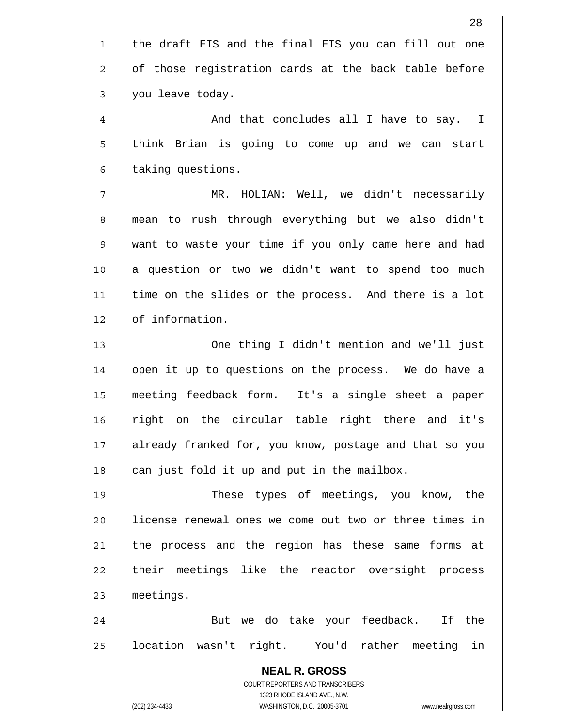**NEAL R. GROSS** COURT REPORTERS AND TRANSCRIBERS 1323 RHODE ISLAND AVE., N.W. 28 1 2 3 4 5 6 7 8 9 10 11 12 13 14 15 16 17 18 19 20 21 22 23 24 25 the draft EIS and the final EIS you can fill out one of those registration cards at the back table before you leave today. And that concludes all I have to say. I think Brian is going to come up and we can start taking questions. MR. HOLIAN: Well, we didn't necessarily mean to rush through everything but we also didn't want to waste your time if you only came here and had a question or two we didn't want to spend too much time on the slides or the process. And there is a lot of information. One thing I didn't mention and we'll just open it up to questions on the process. We do have a meeting feedback form. It's a single sheet a paper right on the circular table right there and it's already franked for, you know, postage and that so you can just fold it up and put in the mailbox. These types of meetings, you know, the license renewal ones we come out two or three times in the process and the region has these same forms at their meetings like the reactor oversight process meetings. But we do take your feedback. If the location wasn't right. You'd rather meeting in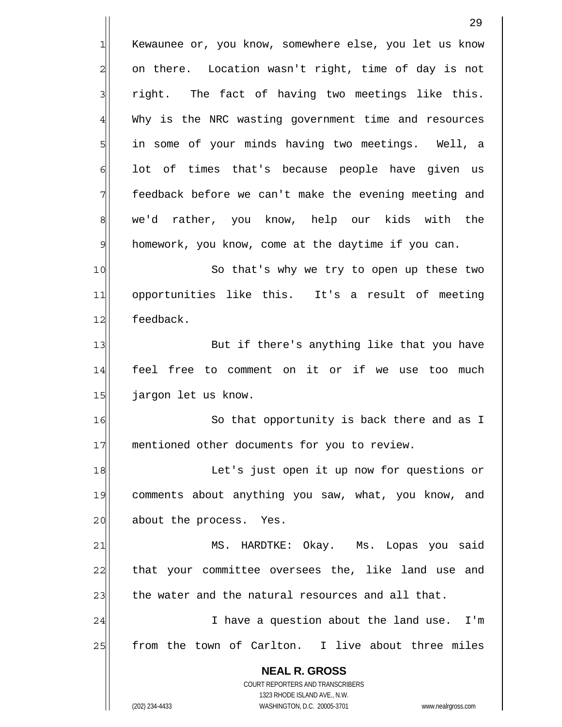|                | 29                                                                            |
|----------------|-------------------------------------------------------------------------------|
| 긔              | Kewaunee or, you know, somewhere else, you let us know                        |
| $\overline{a}$ | on there. Location wasn't right, time of day is not                           |
| 3              | right. The fact of having two meetings like this.                             |
| $\overline{4}$ | Why is the NRC wasting government time and resources                          |
| 5              | in some of your minds having two meetings. Well, a                            |
| 6              | lot of times that's because people have given us                              |
| 7              | feedback before we can't make the evening meeting and                         |
| $\,8\,$        | we'd rather, you know, help our kids with the                                 |
| $\mathfrak{S}$ | homework, you know, come at the daytime if you can.                           |
| 10             | So that's why we try to open up these two                                     |
| 11             | opportunities like this. It's a result of meeting                             |
| 12             | feedback.                                                                     |
| 13             | But if there's anything like that you have                                    |
| 14             | feel free to comment on it or if we use too much                              |
| 15             | jargon let us know.                                                           |
| 16             | So that opportunity is back there and as I                                    |
| 17             | mentioned other documents for you to review.                                  |
| 18             | Let's just open it up now for questions or                                    |
| 19             | comments about anything you saw, what, you know, and                          |
| 20             | about the process.<br>Yes.                                                    |
| 21             | MS. HARDTKE: Okay. Ms. Lopas you said                                         |
| 22             | that your committee oversees the, like land use and                           |
| 23             | the water and the natural resources and all that.                             |
| 24             | I have a question about the land use. I'm                                     |
| 25             | from the town of Carlton. I live about three miles                            |
|                | <b>NEAL R. GROSS</b>                                                          |
|                | COURT REPORTERS AND TRANSCRIBERS                                              |
|                | 1323 RHODE ISLAND AVE., N.W.<br>(202) 234-4433<br>WASHINGTON, D.C. 20005-3701 |
|                | www.nealrgross.com                                                            |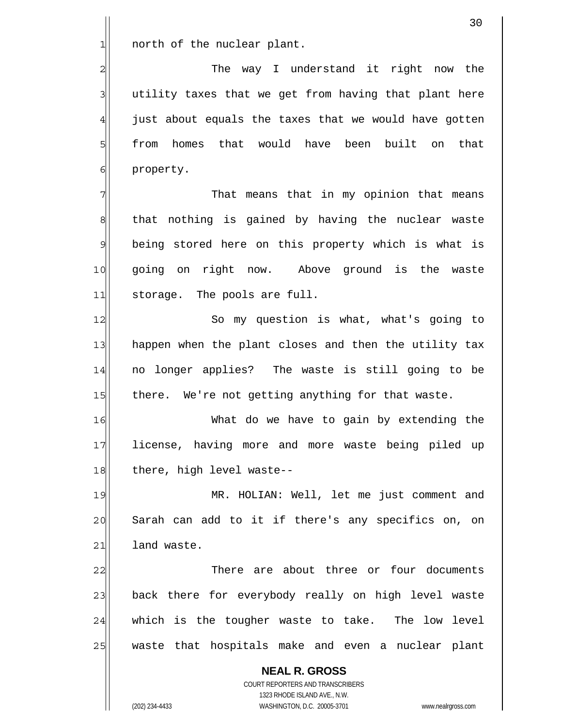north of the nuclear plant.

1

2

3

4

5

6

 The way I understand it right now the utility taxes that we get from having that plant here just about equals the taxes that we would have gotten from homes that would have been built on that property.

7 8 9 10 11 That means that in my opinion that means that nothing is gained by having the nuclear waste being stored here on this property which is what is going on right now. Above ground is the waste storage. The pools are full.

12 13 14 15 So my question is what, what's going to happen when the plant closes and then the utility tax no longer applies? The waste is still going to be there. We're not getting anything for that waste.

16 17 18 What do we have to gain by extending the license, having more and more waste being piled up there, high level waste--

19 20 21 MR. HOLIAN: Well, let me just comment and Sarah can add to it if there's any specifics on, on land waste.

22 23 24 25 There are about three or four documents back there for everybody really on high level waste which is the tougher waste to take. The low level waste that hospitals make and even a nuclear plant

**NEAL R. GROSS** COURT REPORTERS AND TRANSCRIBERS 1323 RHODE ISLAND AVE., N.W. (202) 234-4433 WASHINGTON, D.C. 20005-3701 www.nealrgross.com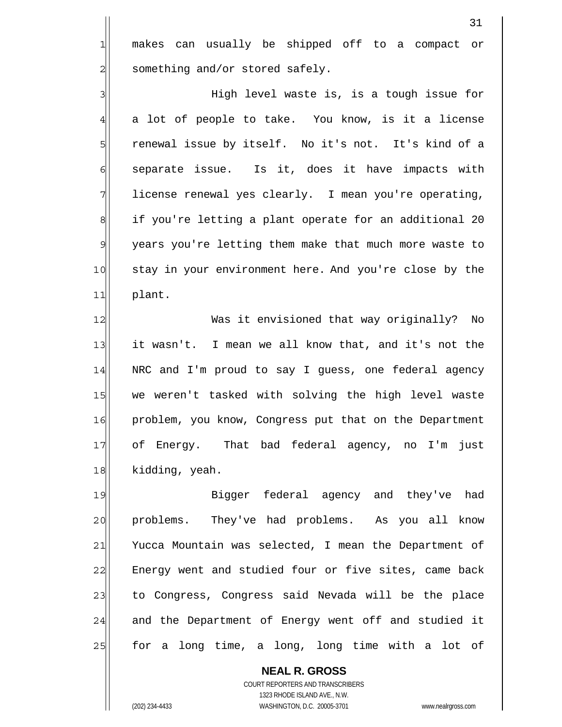makes can usually be shipped off to a compact or something and/or stored safely.

3 4 5 6 7 8 9 10 11 High level waste is, is a tough issue for a lot of people to take. You know, is it a license renewal issue by itself. No it's not. It's kind of a separate issue. Is it, does it have impacts with license renewal yes clearly. I mean you're operating, if you're letting a plant operate for an additional 20 years you're letting them make that much more waste to stay in your environment here. And you're close by the plant.

12 13 14 15 16 17 18 Was it envisioned that way originally? No it wasn't. I mean we all know that, and it's not the NRC and I'm proud to say I guess, one federal agency we weren't tasked with solving the high level waste problem, you know, Congress put that on the Department of Energy. That bad federal agency, no I'm just kidding, yeah.

19 20 21 22 23 24 25 Bigger federal agency and they've had problems. They've had problems. As you all know Yucca Mountain was selected, I mean the Department of Energy went and studied four or five sites, came back to Congress, Congress said Nevada will be the place and the Department of Energy went off and studied it for a long time, a long, long time with a lot of

**NEAL R. GROSS** COURT REPORTERS AND TRANSCRIBERS 1323 RHODE ISLAND AVE., N.W. (202) 234-4433 WASHINGTON, D.C. 20005-3701 www.nealrgross.com

1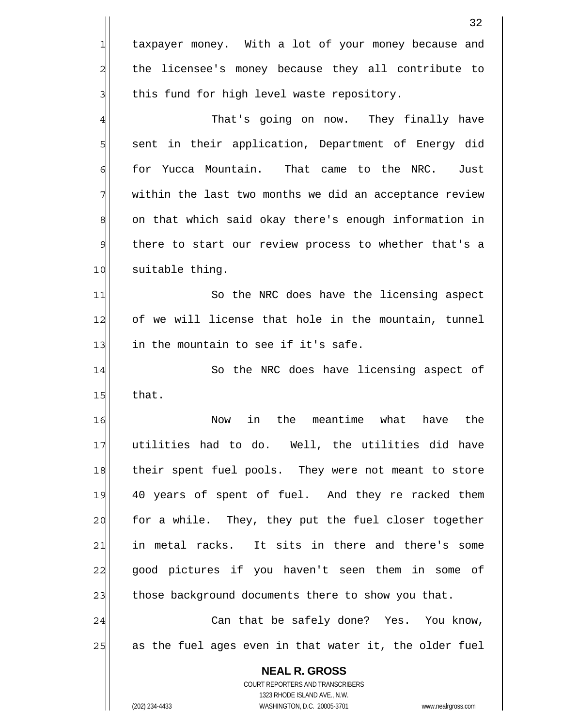|                | 32                                                                                                  |
|----------------|-----------------------------------------------------------------------------------------------------|
| $\mathbf{1}$   | taxpayer money. With a lot of your money because and                                                |
| $\overline{c}$ | the licensee's money because they all contribute to                                                 |
| 3              | this fund for high level waste repository.                                                          |
| $\overline{4}$ | That's going on now. They finally have                                                              |
| 5              | sent in their application, Department of Energy did                                                 |
| $\epsilon$     | for Yucca Mountain.<br>That came to the NRC. Just                                                   |
| 7              | within the last two months we did an acceptance review                                              |
| 8              | on that which said okay there's enough information in                                               |
| 9              | there to start our review process to whether that's a                                               |
| 10             | suitable thing.                                                                                     |
| 11             | So the NRC does have the licensing aspect                                                           |
| 12             | of we will license that hole in the mountain, tunnel                                                |
| 13             | in the mountain to see if it's safe.                                                                |
| 14             | So the NRC does have licensing aspect of                                                            |
| 15             | that.                                                                                               |
| 16             | in<br>the<br>meantime<br>what<br>the<br>Now<br>have                                                 |
| 17             | utilities had to do. Well, the utilities did have                                                   |
| 18             | their spent fuel pools. They were not meant to store                                                |
| 19             | 40 years of spent of fuel. And they re racked them                                                  |
| 20             | for a while. They, they put the fuel closer together                                                |
| 21             | in metal racks. It sits in there and there's some                                                   |
| 22             | good pictures if you haven't seen them in some of                                                   |
| 23             | those background documents there to show you that.                                                  |
| 24             | Can that be safely done? Yes. You know,                                                             |
| 25             | as the fuel ages even in that water it, the older fuel                                              |
|                | <b>NEAL R. GROSS</b>                                                                                |
|                | COURT REPORTERS AND TRANSCRIBERS                                                                    |
|                | 1323 RHODE ISLAND AVE., N.W.<br>WASHINGTON, D.C. 20005-3701<br>(202) 234-4433<br>www.nealrgross.com |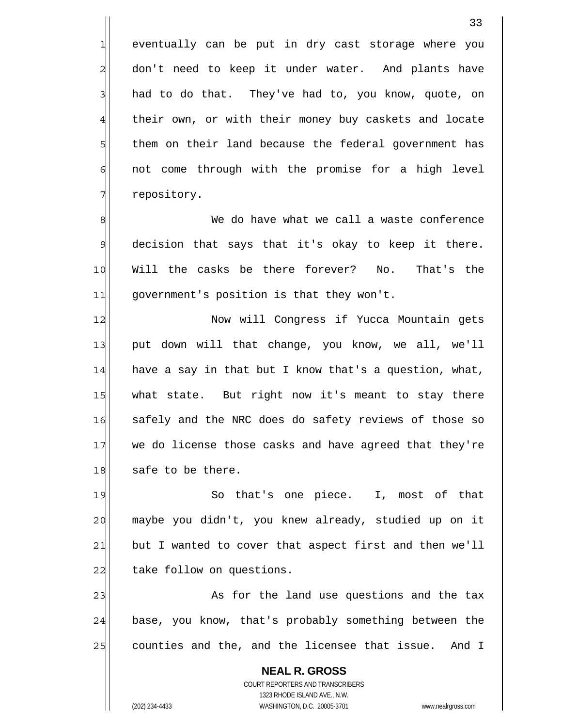eventually can be put in dry cast storage where you don't need to keep it under water. And plants have had to do that. They've had to, you know, quote, on their own, or with their money buy caskets and locate them on their land because the federal government has not come through with the promise for a high level repository.

8 9 10 11 We do have what we call a waste conference decision that says that it's okay to keep it there. Will the casks be there forever? No. That's the government's position is that they won't.

12 13 14 15 16 17 18 Now will Congress if Yucca Mountain gets put down will that change, you know, we all, we'll have a say in that but I know that's a question, what, what state. But right now it's meant to stay there safely and the NRC does do safety reviews of those so we do license those casks and have agreed that they're safe to be there.

19 20 21 22 So that's one piece. I, most of that maybe you didn't, you knew already, studied up on it but I wanted to cover that aspect first and then we'll take follow on questions.

23 24 25 As for the land use questions and the tax base, you know, that's probably something between the counties and the, and the licensee that issue. And I

**NEAL R. GROSS** COURT REPORTERS AND TRANSCRIBERS 1323 RHODE ISLAND AVE., N.W. (202) 234-4433 WASHINGTON, D.C. 20005-3701 www.nealrgross.com

1

2

3

4

5

6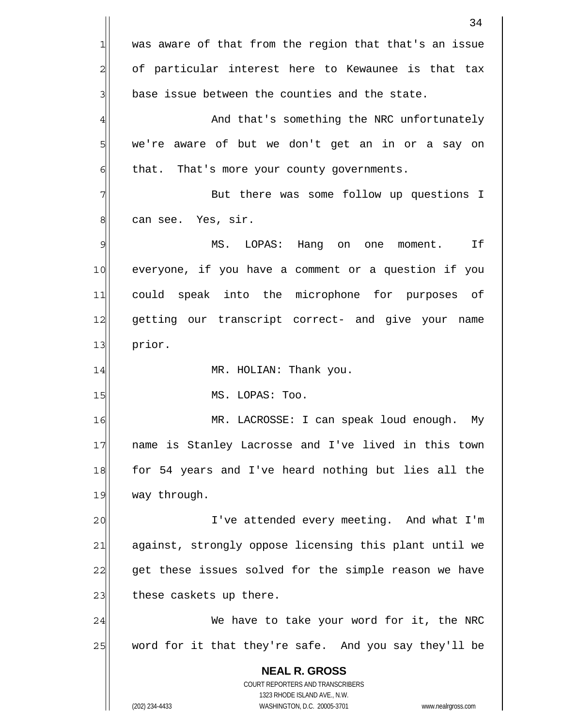**NEAL R. GROSS** COURT REPORTERS AND TRANSCRIBERS 1323 RHODE ISLAND AVE., N.W. (202) 234-4433 WASHINGTON, D.C. 20005-3701 www.nealrgross.com 1 2 3 4 5 6 7 8 9 10 11 12 13 14 15 16 17 18 19 20 21 22 23 24 25 was aware of that from the region that that's an issue of particular interest here to Kewaunee is that tax base issue between the counties and the state. And that's something the NRC unfortunately we're aware of but we don't get an in or a say on that. That's more your county governments. But there was some follow up questions I can see. Yes, sir. MS. LOPAS: Hang on one moment. If everyone, if you have a comment or a question if you could speak into the microphone for purposes of getting our transcript correct- and give your name prior. MR. HOLIAN: Thank you. MS. LOPAS: Too. MR. LACROSSE: I can speak loud enough. My name is Stanley Lacrosse and I've lived in this town for 54 years and I've heard nothing but lies all the way through. I've attended every meeting. And what I'm against, strongly oppose licensing this plant until we get these issues solved for the simple reason we have these caskets up there. We have to take your word for it, the NRC word for it that they're safe. And you say they'll be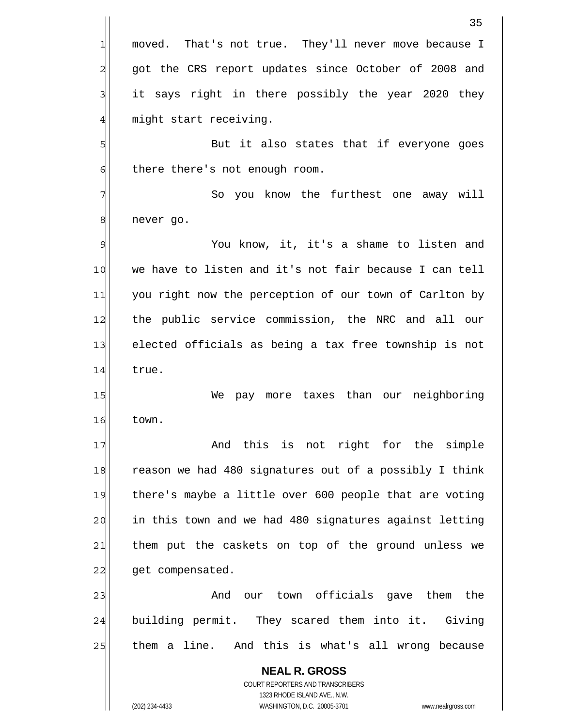|                | 35                                                                                                  |
|----------------|-----------------------------------------------------------------------------------------------------|
| 1              | moved. That's not true. They'll never move because I                                                |
| $\overline{c}$ | got the CRS report updates since October of 2008 and                                                |
| 3              | it says right in there possibly the year 2020 they                                                  |
| $\overline{4}$ | might start receiving.                                                                              |
| 5              | But it also states that if everyone goes                                                            |
| 6              | there there's not enough room.                                                                      |
| 7              | So you know the furthest one away will                                                              |
| 8              | never go.                                                                                           |
| $\mathfrak{S}$ | You know, it, it's a shame to listen and                                                            |
| 10             | we have to listen and it's not fair because I can tell                                              |
| 11             | you right now the perception of our town of Carlton by                                              |
| 12             | the public service commission, the NRC and all our                                                  |
| 13             | elected officials as being a tax free township is not                                               |
| 14             | true.                                                                                               |
| 15             | pay more taxes than our neighboring<br>We                                                           |
| 16             | town.                                                                                               |
| 17             | And this is not right for the simple                                                                |
| 18             | reason we had 480 signatures out of a possibly I think                                              |
| 19             | there's maybe a little over 600 people that are voting                                              |
| 20             | in this town and we had 480 signatures against letting                                              |
| 21             | them put the caskets on top of the ground unless we                                                 |
| 22             | get compensated.                                                                                    |
| 23             | our town officials gave them the<br>And                                                             |
| 24             | building permit. They scared them into it. Giving                                                   |
| 25             | them a line. And this is what's all wrong because                                                   |
|                | <b>NEAL R. GROSS</b>                                                                                |
|                | COURT REPORTERS AND TRANSCRIBERS                                                                    |
|                | 1323 RHODE ISLAND AVE., N.W.<br>(202) 234-4433<br>WASHINGTON, D.C. 20005-3701<br>www.nealrgross.com |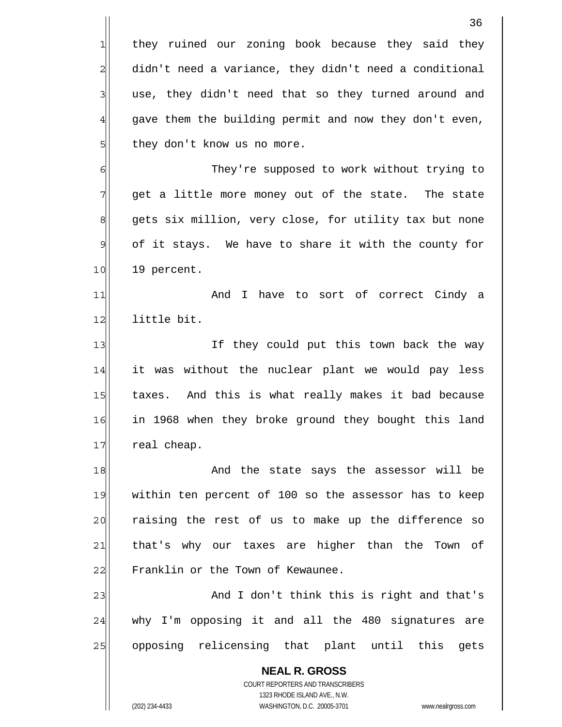|                | 36                                                                                                  |
|----------------|-----------------------------------------------------------------------------------------------------|
| $\mathbf{1}$   | they ruined our zoning book because they said they                                                  |
| $\overline{a}$ | didn't need a variance, they didn't need a conditional                                              |
| 3              | use, they didn't need that so they turned around and                                                |
| $\overline{4}$ | gave them the building permit and now they don't even,                                              |
| 5              | they don't know us no more.                                                                         |
| 6              | They're supposed to work without trying to                                                          |
| 7              | get a little more money out of the state. The state                                                 |
| $\,8\,$        | gets six million, very close, for utility tax but none                                              |
| $\mathcal{Q}$  | of it stays. We have to share it with the county for                                                |
| 10             | 19 percent.                                                                                         |
| 11             | And I have to sort of correct Cindy a                                                               |
| 12             | little bit.                                                                                         |
| 13             | If they could put this town back the way                                                            |
| 14             | it was without the nuclear plant we would pay less                                                  |
| 15             | taxes. And this is what really makes it bad because                                                 |
| 16             | in 1968 when they broke ground they bought this land                                                |
| 17             | real cheap.                                                                                         |
| 18             | And the state says the assessor will be                                                             |
| 19             | within ten percent of 100 so the assessor has to keep                                               |
| 20             | raising the rest of us to make up the difference so                                                 |
| 21             | that's why our taxes are higher than the Town of                                                    |
| 22             | Franklin or the Town of Kewaunee.                                                                   |
| 23             | And I don't think this is right and that's                                                          |
| 24             | why I'm opposing it and all the 480 signatures<br>are                                               |
| 25             | opposing relicensing that plant until this<br>gets                                                  |
|                | <b>NEAL R. GROSS</b>                                                                                |
|                | <b>COURT REPORTERS AND TRANSCRIBERS</b>                                                             |
|                | 1323 RHODE ISLAND AVE., N.W.<br>(202) 234-4433<br>WASHINGTON, D.C. 20005-3701<br>www.nealrgross.com |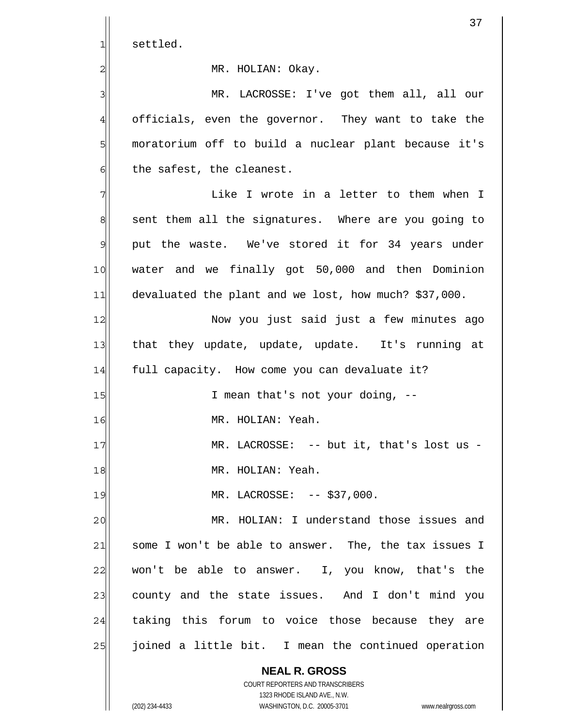|               | 37                                                                                                  |
|---------------|-----------------------------------------------------------------------------------------------------|
| 1             | settled.                                                                                            |
| 2             | MR. HOLIAN: Okay.                                                                                   |
| 3             | MR. LACROSSE: I've got them all, all our                                                            |
| 4             | officials, even the governor. They want to take the                                                 |
| 5             | moratorium off to build a nuclear plant because it's                                                |
| 6             | the safest, the cleanest.                                                                           |
| 7             | Like I wrote in a letter to them when I                                                             |
| 8             | sent them all the signatures. Where are you going to                                                |
| $\mathcal{Q}$ | put the waste. We've stored it for 34 years under                                                   |
| 10            | water and we finally got 50,000 and then Dominion                                                   |
| 11            | devaluated the plant and we lost, how much? \$37,000.                                               |
| 12            | Now you just said just a few minutes ago                                                            |
| 13            | that they update, update, update. It's running at                                                   |
| 14            | full capacity. How come you can devaluate it?                                                       |
| 15            | I mean that's not your doing, --                                                                    |
| 16            | MR. HOLIAN: Yeah.                                                                                   |
| 17            | MR. LACROSSE: -- but it, that's lost us -                                                           |
| 18            | MR. HOLIAN: Yeah.                                                                                   |
| 19            | MR. LACROSSE: -- \$37,000.                                                                          |
| 20            | MR. HOLIAN: I understand those issues and                                                           |
| 21            | some I won't be able to answer. The, the tax issues I                                               |
| 22            | won't be able to answer. I, you know, that's the                                                    |
| 23            | county and the state issues. And I don't mind you                                                   |
| 24            | taking this forum to voice those because they are                                                   |
| 25            | joined a little bit. I mean the continued operation                                                 |
|               | <b>NEAL R. GROSS</b>                                                                                |
|               | COURT REPORTERS AND TRANSCRIBERS                                                                    |
|               | 1323 RHODE ISLAND AVE., N.W.<br>(202) 234-4433<br>WASHINGTON, D.C. 20005-3701<br>www.nealrgross.com |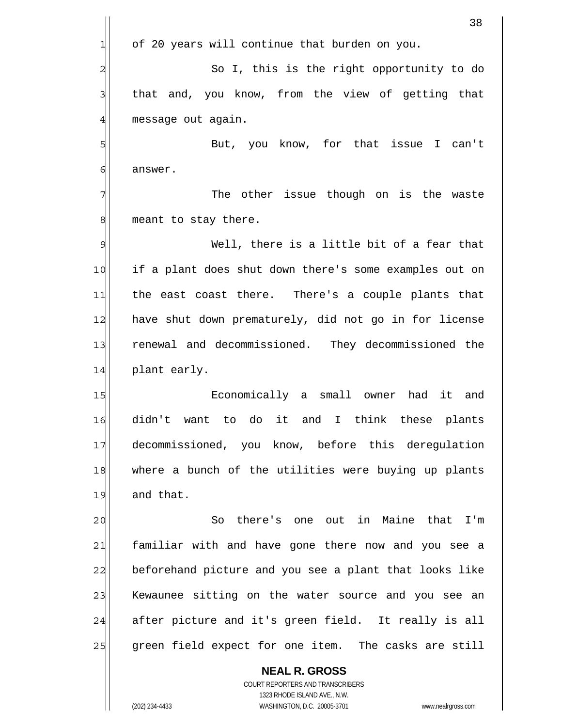|                | 38                                                              |
|----------------|-----------------------------------------------------------------|
| 긔              | of 20 years will continue that burden on you.                   |
| $\overline{c}$ | So I, this is the right opportunity to do                       |
| $\mathbf{3}$   | that and, you know, from the view of getting that               |
| $\overline{4}$ | message out again.                                              |
| 5              | But, you know, for that issue I can't                           |
| 6              | answer.                                                         |
| 7              | The other issue though on is the waste                          |
| 8              | meant to stay there.                                            |
| 9              | Well, there is a little bit of a fear that                      |
| 10             | if a plant does shut down there's some examples out on          |
| 11             | the east coast there. There's a couple plants that              |
| 12             | have shut down prematurely, did not go in for license           |
| 13             | renewal and decommissioned. They decommissioned the             |
| 14             | plant early.                                                    |
| 15             | Economically a small owner had<br>it<br>and                     |
| 16             | didn't want<br>to do it and I think these plants                |
| 17             | decommissioned, you know, before this deregulation              |
| 18             | where a bunch of the utilities were buying up plants            |
| 19             | and that.                                                       |
| 20             | So there's one out in Maine that I'm                            |
| 21             | familiar with and have gone there now and you see a             |
| 22             | beforehand picture and you see a plant that looks like          |
| 23             | Kewaunee sitting on the water source and you see an             |
| 24             | after picture and it's green field. It really is all            |
| 25             | green field expect for one item. The casks are still            |
|                | <b>NEAL R. GROSS</b><br><b>COURT REPORTERS AND TRANSCRIBERS</b> |

1323 RHODE ISLAND AVE., N.W.

 $\prod$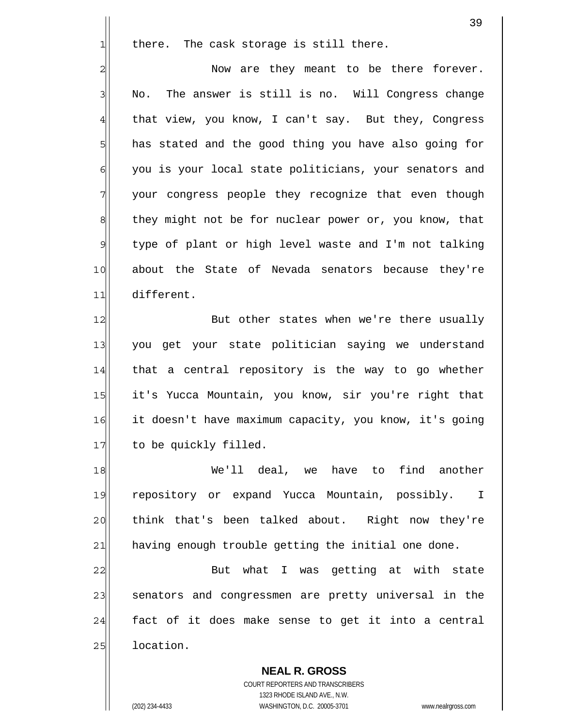there. The cask storage is still there.

2 3 4 5 6 7 8 9 10 11 Now are they meant to be there forever. No. The answer is still is no. Will Congress change that view, you know, I can't say. But they, Congress has stated and the good thing you have also going for you is your local state politicians, your senators and your congress people they recognize that even though they might not be for nuclear power or, you know, that type of plant or high level waste and I'm not talking about the State of Nevada senators because they're different.

12 13 14 15 16 17 But other states when we're there usually you get your state politician saying we understand that a central repository is the way to go whether it's Yucca Mountain, you know, sir you're right that it doesn't have maximum capacity, you know, it's going to be quickly filled.

18 19 20 21 We'll deal, we have to find another repository or expand Yucca Mountain, possibly. I think that's been talked about. Right now they're having enough trouble getting the initial one done.

22 23 24 25 But what I was getting at with state senators and congressmen are pretty universal in the fact of it does make sense to get it into a central location.

**NEAL R. GROSS** COURT REPORTERS AND TRANSCRIBERS 1323 RHODE ISLAND AVE., N.W. (202) 234-4433 WASHINGTON, D.C. 20005-3701 www.nealrgross.com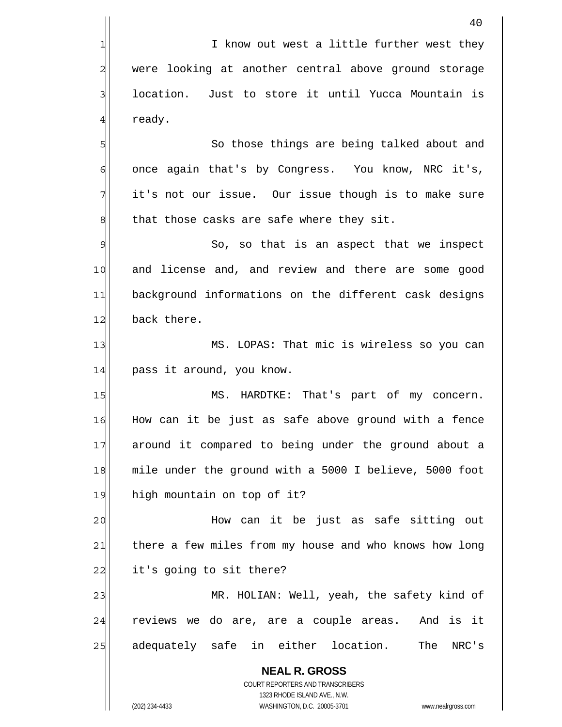**NEAL R. GROSS** COURT REPORTERS AND TRANSCRIBERS 1323 RHODE ISLAND AVE., N.W. 40 1 2 3 4 5 6 7 8 9 10 11 12 13 14 15 16 17 18 19 20 21 22 23 24 25 I know out west a little further west they were looking at another central above ground storage location. Just to store it until Yucca Mountain is ready. So those things are being talked about and once again that's by Congress. You know, NRC it's, it's not our issue. Our issue though is to make sure that those casks are safe where they sit. So, so that is an aspect that we inspect and license and, and review and there are some good background informations on the different cask designs back there. MS. LOPAS: That mic is wireless so you can pass it around, you know. MS. HARDTKE: That's part of my concern. How can it be just as safe above ground with a fence around it compared to being under the ground about a mile under the ground with a 5000 I believe, 5000 foot high mountain on top of it? How can it be just as safe sitting out there a few miles from my house and who knows how long it's going to sit there? MR. HOLIAN: Well, yeah, the safety kind of reviews we do are, are a couple areas. And is it adequately safe in either location. The NRC's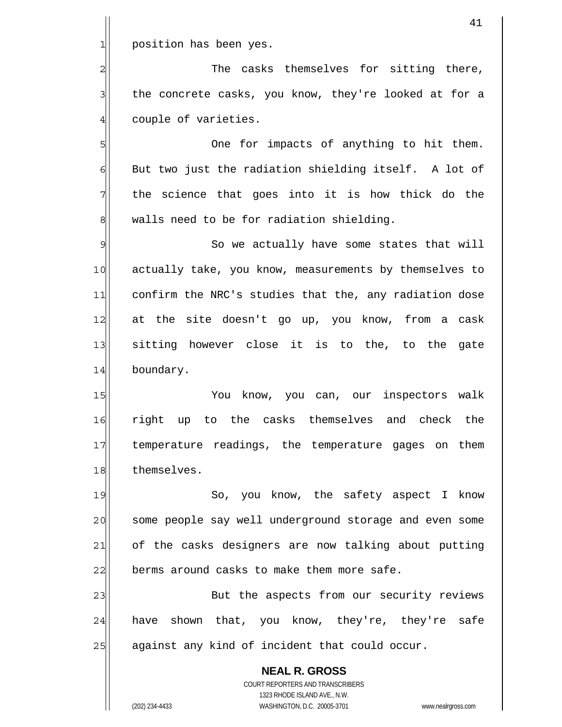1 position has been yes.

4

5

7

2 3 The casks themselves for sitting there, the concrete casks, you know, they're looked at for a couple of varieties.

6 8 One for impacts of anything to hit them. But two just the radiation shielding itself. A lot of the science that goes into it is how thick do the walls need to be for radiation shielding.

9 10 11 12 13 14 So we actually have some states that will actually take, you know, measurements by themselves to confirm the NRC's studies that the, any radiation dose at the site doesn't go up, you know, from a cask sitting however close it is to the, to the gate boundary.

15 16 17 18 You know, you can, our inspectors walk right up to the casks themselves and check the temperature readings, the temperature gages on them themselves.

19 20 21 22 So, you know, the safety aspect I know some people say well underground storage and even some of the casks designers are now talking about putting berms around casks to make them more safe.

23 24 25 But the aspects from our security reviews have shown that, you know, they're, they're safe against any kind of incident that could occur.

**NEAL R. GROSS** COURT REPORTERS AND TRANSCRIBERS 1323 RHODE ISLAND AVE., N.W. (202) 234-4433 WASHINGTON, D.C. 20005-3701 www.nealrgross.com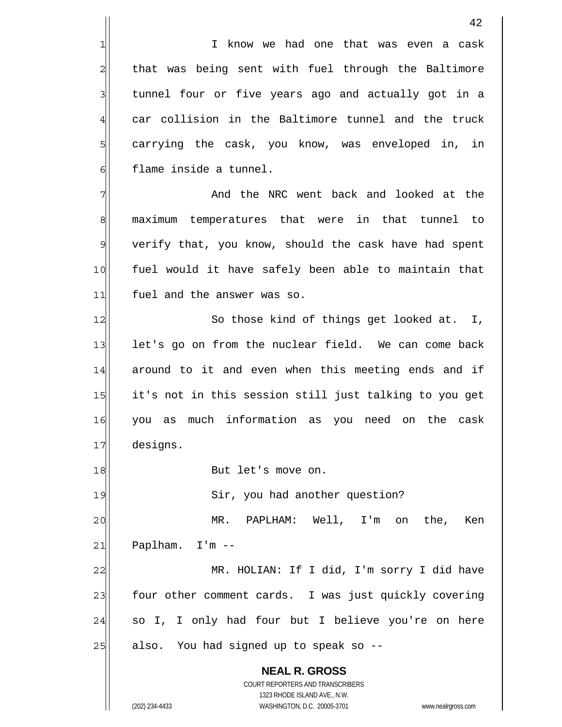I know we had one that was even a cask that was being sent with fuel through the Baltimore tunnel four or five years ago and actually got in a car collision in the Baltimore tunnel and the truck carrying the cask, you know, was enveloped in, in flame inside a tunnel. And the NRC went back and looked at the

7 8 9 10 11 maximum temperatures that were in that tunnel to verify that, you know, should the cask have had spent fuel would it have safely been able to maintain that fuel and the answer was so.

12 13 14 15 16 17 So those kind of things get looked at. I, let's go on from the nuclear field. We can come back around to it and even when this meeting ends and if it's not in this session still just talking to you get you as much information as you need on the cask designs.

But let's move on.

Sir, you had another question?

20 21 MR. PAPLHAM: Well, I'm on the, Ken Paplham. I'm --

22 23 24 25 MR. HOLIAN: If I did, I'm sorry I did have four other comment cards. I was just quickly covering so I, I only had four but I believe you're on here also. You had signed up to speak so --

**NEAL R. GROSS** COURT REPORTERS AND TRANSCRIBERS 1323 RHODE ISLAND AVE., N.W. (202) 234-4433 WASHINGTON, D.C. 20005-3701 www.nealrgross.com

1

2

3

4

5

6

18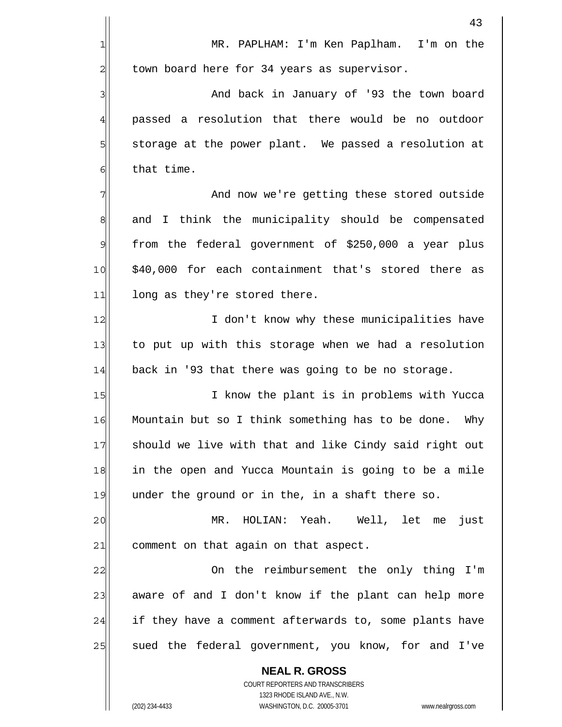1 2 3 4 5 6 7 8 9 10 11 12 13 14 15 16 17 18 19 MR. PAPLHAM: I'm Ken Paplham. I'm on the town board here for 34 years as supervisor. And back in January of '93 the town board passed a resolution that there would be no outdoor storage at the power plant. We passed a resolution at that time. And now we're getting these stored outside and I think the municipality should be compensated from the federal government of \$250,000 a year plus \$40,000 for each containment that's stored there as long as they're stored there. I don't know why these municipalities have to put up with this storage when we had a resolution back in '93 that there was going to be no storage. I know the plant is in problems with Yucca Mountain but so I think something has to be done. Why should we live with that and like Cindy said right out in the open and Yucca Mountain is going to be a mile under the ground or in the, in a shaft there so.

20 21 MR. HOLIAN: Yeah. Well, let me just comment on that again on that aspect.

22 23 24 25 On the reimbursement the only thing I'm aware of and I don't know if the plant can help more if they have a comment afterwards to, some plants have sued the federal government, you know, for and I've

**NEAL R. GROSS** COURT REPORTERS AND TRANSCRIBERS 1323 RHODE ISLAND AVE., N.W. (202) 234-4433 WASHINGTON, D.C. 20005-3701 www.nealrgross.com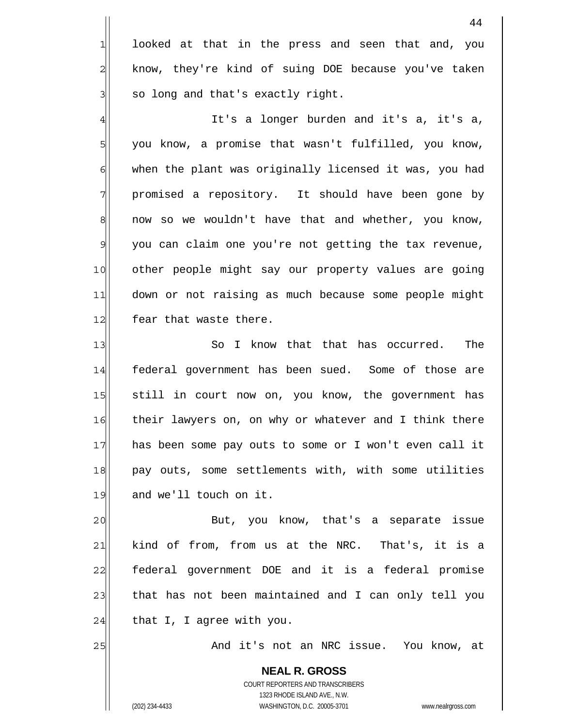looked at that in the press and seen that and, you know, they're kind of suing DOE because you've taken so long and that's exactly right.

4 5 6 7 8 9 10 11 12 It's a longer burden and it's a, it's a, you know, a promise that wasn't fulfilled, you know, when the plant was originally licensed it was, you had promised a repository. It should have been gone by now so we wouldn't have that and whether, you know, you can claim one you're not getting the tax revenue, other people might say our property values are going down or not raising as much because some people might fear that waste there.

13 14 15 16 17 18 19 So I know that that has occurred. The federal government has been sued. Some of those are still in court now on, you know, the government has their lawyers on, on why or whatever and I think there has been some pay outs to some or I won't even call it pay outs, some settlements with, with some utilities and we'll touch on it.

20 21 22 23 24 But, you know, that's a separate issue kind of from, from us at the NRC. That's, it is a federal government DOE and it is a federal promise that has not been maintained and I can only tell you that I, I agree with you.

And it's not an NRC issue. You know, at

**NEAL R. GROSS** COURT REPORTERS AND TRANSCRIBERS 1323 RHODE ISLAND AVE., N.W. (202) 234-4433 WASHINGTON, D.C. 20005-3701 www.nealrgross.com

25

1

2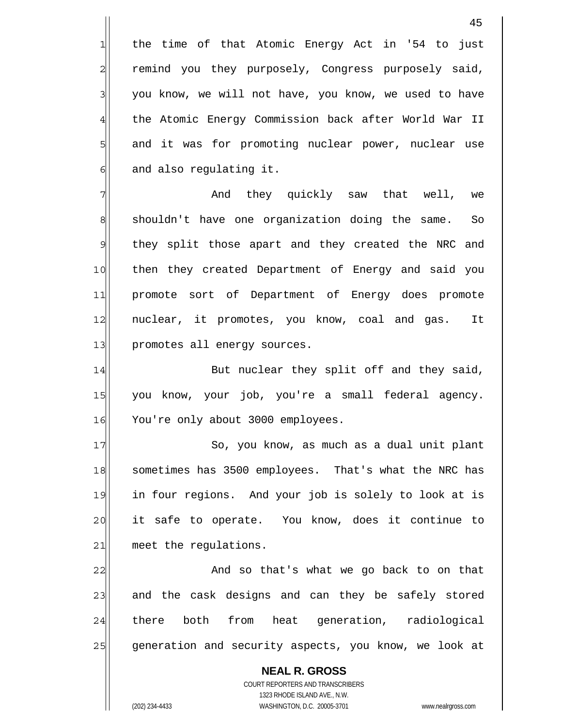the time of that Atomic Energy Act in '54 to just remind you they purposely, Congress purposely said, you know, we will not have, you know, we used to have the Atomic Energy Commission back after World War II and it was for promoting nuclear power, nuclear use and also regulating it.

7 8 9 10 11 12 13 And they quickly saw that well, we shouldn't have one organization doing the same. So they split those apart and they created the NRC and then they created Department of Energy and said you promote sort of Department of Energy does promote nuclear, it promotes, you know, coal and gas. It promotes all energy sources.

14 15 16 But nuclear they split off and they said, you know, your job, you're a small federal agency. You're only about 3000 employees.

17 18 19 20 21 So, you know, as much as a dual unit plant sometimes has 3500 employees. That's what the NRC has in four regions. And your job is solely to look at is it safe to operate. You know, does it continue to meet the regulations.

22 23 24 25 And so that's what we go back to on that and the cask designs and can they be safely stored there both from heat generation, radiological generation and security aspects, you know, we look at

**NEAL R. GROSS** COURT REPORTERS AND TRANSCRIBERS 1323 RHODE ISLAND AVE., N.W. (202) 234-4433 WASHINGTON, D.C. 20005-3701 www.nealrgross.com

1

2

3

4

5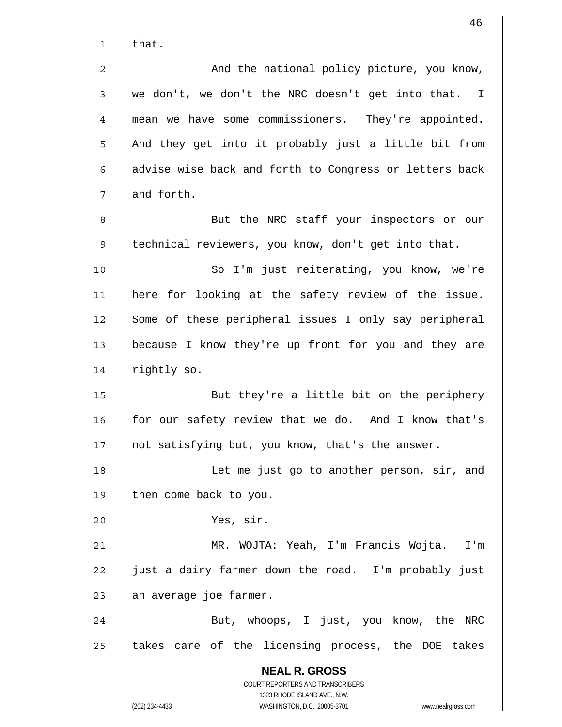that.

1

2

3

4

5

6

7

8

20

 And the national policy picture, you know, we don't, we don't the NRC doesn't get into that. I mean we have some commissioners. They're appointed. And they get into it probably just a little bit from advise wise back and forth to Congress or letters back and forth.

9 But the NRC staff your inspectors or our technical reviewers, you know, don't get into that.

10 11 12 13 14 So I'm just reiterating, you know, we're here for looking at the safety review of the issue. Some of these peripheral issues I only say peripheral because I know they're up front for you and they are rightly so.

15 16 17 But they're a little bit on the periphery for our safety review that we do. And I know that's not satisfying but, you know, that's the answer.

18 19 Let me just go to another person, sir, and then come back to you.

Yes, sir.

21 22 23 MR. WOJTA: Yeah, I'm Francis Wojta. I'm just a dairy farmer down the road. I'm probably just an average joe farmer.

24 25 But, whoops, I just, you know, the NRC takes care of the licensing process, the DOE takes

> **NEAL R. GROSS** COURT REPORTERS AND TRANSCRIBERS 1323 RHODE ISLAND AVE., N.W. (202) 234-4433 WASHINGTON, D.C. 20005-3701 www.nealrgross.com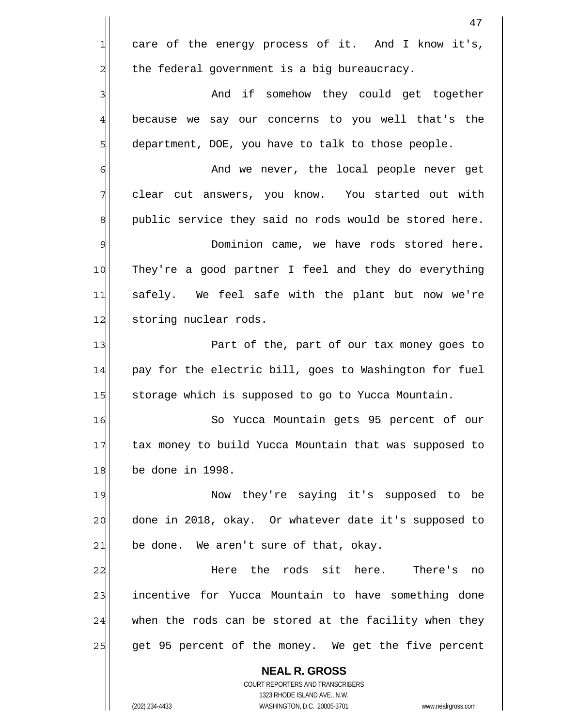|                | 47                                                                                                  |
|----------------|-----------------------------------------------------------------------------------------------------|
| $\mathbf 1$    | care of the energy process of it. And I know it's,                                                  |
| $\overline{c}$ | the federal government is a big bureaucracy.                                                        |
| $\overline{3}$ | And if somehow they could get together                                                              |
| $\overline{4}$ | because we say our concerns to you well that's the                                                  |
| 5              | department, DOE, you have to talk to those people.                                                  |
| 6              | And we never, the local people never get                                                            |
| $\overline{7}$ | clear cut answers, you know. You started out with                                                   |
| 8              | public service they said no rods would be stored here.                                              |
| 9              | Dominion came, we have rods stored here.                                                            |
| 10             | They're a good partner I feel and they do everything                                                |
| 11             | safely. We feel safe with the plant but now we're                                                   |
| 12             | storing nuclear rods.                                                                               |
| 13             | Part of the, part of our tax money goes to                                                          |
| 14             | pay for the electric bill, goes to Washington for fuel                                              |
| 15             | storage which is supposed to go to Yucca Mountain.                                                  |
| 16             | So Yucca Mountain gets 95 percent of our                                                            |
| 17             | tax money to build Yucca Mountain that was supposed to                                              |
| 18             | be done in 1998.                                                                                    |
| 19             | Now they're saying it's supposed to be                                                              |
| 20             | done in 2018, okay. Or whatever date it's supposed to                                               |
| 21             | be done. We aren't sure of that, okay.                                                              |
| 22             | the rods sit here. There's<br>Here<br>no                                                            |
| 23             | incentive for Yucca Mountain to have something done                                                 |
| 24             | when the rods can be stored at the facility when they                                               |
| 25             | get 95 percent of the money. We get the five percent                                                |
|                | <b>NEAL R. GROSS</b>                                                                                |
|                | <b>COURT REPORTERS AND TRANSCRIBERS</b>                                                             |
|                | 1323 RHODE ISLAND AVE., N.W.<br>(202) 234-4433<br>WASHINGTON, D.C. 20005-3701<br>www.nealrgross.com |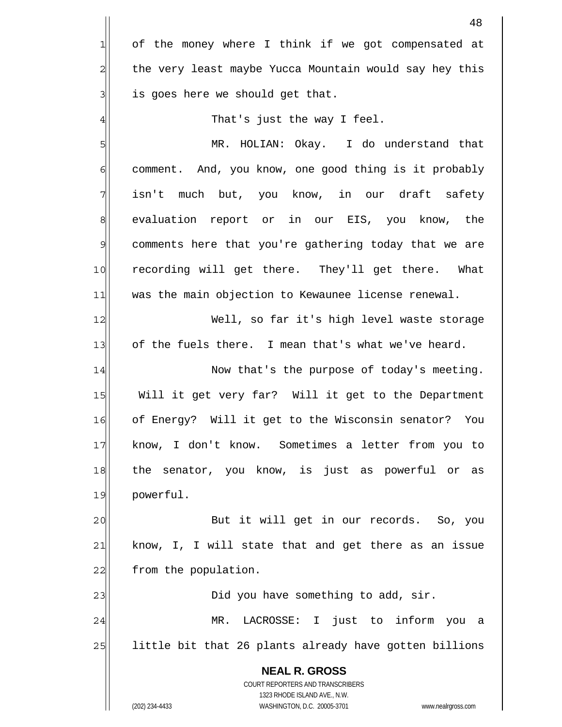|                | 48                                                                                                  |
|----------------|-----------------------------------------------------------------------------------------------------|
| 긔              | of the money where I think if we got compensated at                                                 |
| $\overline{a}$ | the very least maybe Yucca Mountain would say hey this                                              |
| 3              | is goes here we should get that.                                                                    |
| 4              | That's just the way I feel.                                                                         |
| 5              | HOLIAN: Okay. I do understand that<br>MR.                                                           |
| 6              | comment. And, you know, one good thing is it probably                                               |
| 7              | isn't much but, you know, in our draft safety                                                       |
| $\,8\,$        | evaluation report or in our EIS, you know, the                                                      |
| $\mathcal{Q}$  | comments here that you're gathering today that we are                                               |
| 10             | recording will get there. They'll get there. What                                                   |
| 11             | was the main objection to Kewaunee license renewal.                                                 |
| 12             | Well, so far it's high level waste storage                                                          |
| 13             | of the fuels there. I mean that's what we've heard.                                                 |
| 14             | Now that's the purpose of today's meeting.                                                          |
| 15             | Will it get very far? Will it get to the Department                                                 |
| 16             | of Energy? Will it get to the Wisconsin senator?<br>You                                             |
| 17             | know, I don't know. Sometimes a letter from you to                                                  |
| 18             | senator, you know, is just as powerful or as<br>the                                                 |
| 19             | powerful.                                                                                           |
| 20             | But it will get in our records. So, you                                                             |
| 21             | know, I, I will state that and get there as an issue                                                |
| 22             | from the population.                                                                                |
| 23             | Did you have something to add, sir.                                                                 |
| 24             | LACROSSE: I just to inform you a<br>MR.                                                             |
| 25             | little bit that 26 plants already have gotten billions                                              |
|                | <b>NEAL R. GROSS</b>                                                                                |
|                | COURT REPORTERS AND TRANSCRIBERS                                                                    |
|                | 1323 RHODE ISLAND AVE., N.W.<br>(202) 234-4433<br>WASHINGTON, D.C. 20005-3701<br>www.nealrgross.com |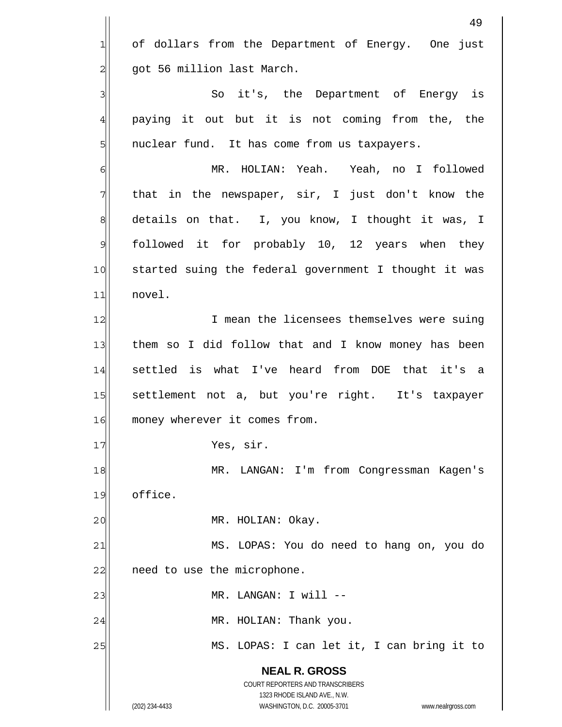|                | 49                                                                                                  |
|----------------|-----------------------------------------------------------------------------------------------------|
| 1              | of dollars from the Department of Energy. One just                                                  |
| $\overline{a}$ | got 56 million last March.                                                                          |
| 3              | So it's, the Department of Energy is                                                                |
| $\overline{4}$ | paying it out but it is not coming from the, the                                                    |
| 5              | nuclear fund. It has come from us taxpayers.                                                        |
| 6              | MR. HOLIAN: Yeah. Yeah, no I followed                                                               |
| 7              | that in the newspaper, sir, I just don't know the                                                   |
| $\,8\,$        | details on that. I, you know, I thought it was, I                                                   |
| $\mathfrak{S}$ | followed it for probably 10, 12 years when they                                                     |
| 10             | started suing the federal government I thought it was                                               |
| 11             | novel.                                                                                              |
| 12             | I mean the licensees themselves were suing                                                          |
| 13             | them so I did follow that and I know money has been                                                 |
| 14             | settled is what I've heard from DOE that it's a                                                     |
| 15             | settlement not a, but you're right. It's taxpayer                                                   |
| 16             | money wherever it comes from.                                                                       |
| 17             | Yes, sir.                                                                                           |
| 18             | LANGAN: I'm from Congressman Kagen's<br>MR.                                                         |
| 19             | office.                                                                                             |
| 20             | MR. HOLIAN: Okay.                                                                                   |
| 21             | MS. LOPAS: You do need to hang on, you do                                                           |
| 22             | need to use the microphone.                                                                         |
| 23             | MR. LANGAN: I will --                                                                               |
| 24             | MR. HOLIAN: Thank you.                                                                              |
| 25             | MS. LOPAS: I can let it, I can bring it to                                                          |
|                | <b>NEAL R. GROSS</b>                                                                                |
|                | COURT REPORTERS AND TRANSCRIBERS                                                                    |
|                | 1323 RHODE ISLAND AVE., N.W.<br>(202) 234-4433<br>WASHINGTON, D.C. 20005-3701<br>www.nealrgross.com |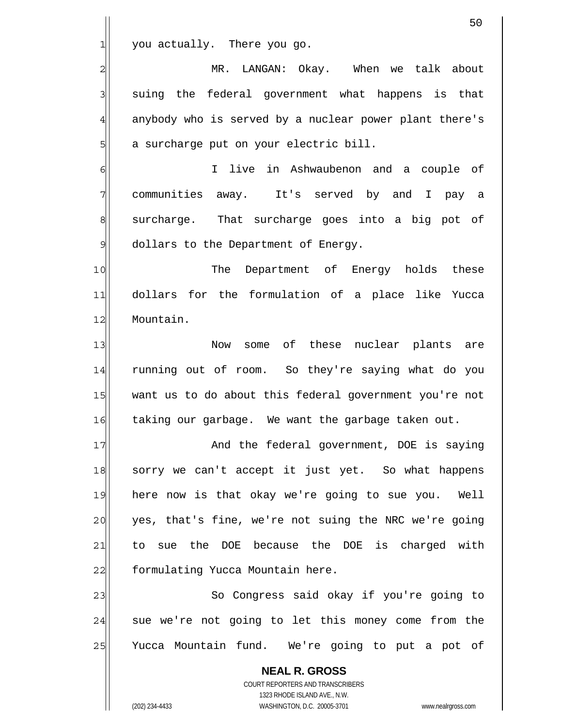|                | 50                                                                                                  |
|----------------|-----------------------------------------------------------------------------------------------------|
| 1              | you actually. There you go.                                                                         |
| $\overline{c}$ | LANGAN: Okay. When we talk about<br>MR.                                                             |
| 3              | suing the federal government what happens is that                                                   |
| 4              | anybody who is served by a nuclear power plant there's                                              |
| 5              | a surcharge put on your electric bill.                                                              |
| 6              | live in Ashwaubenon and a couple of<br>T.                                                           |
| 7              | communities away. It's served by and I pay a                                                        |
| 8              | surcharge. That surcharge goes into a big pot of                                                    |
| $\mathsf{S}$   | dollars to the Department of Energy.                                                                |
| 10             | The<br>Department of Energy holds these                                                             |
| 11             | dollars for the formulation of a place like Yucca                                                   |
| 12             | Mountain.                                                                                           |
| 13             | of these nuclear plants<br>Now<br>some<br>are                                                       |
| 14             | running out of room. So they're saying what do you                                                  |
| 15             | want us to do about this federal government you're not                                              |
| 16             | taking our garbage. We want the garbage taken out.                                                  |
| 17             | And the federal government, DOE is saying                                                           |
| 18             | sorry we can't accept it just yet. So what happens                                                  |
| 19             | here now is that okay we're going to sue you. Well                                                  |
| 20             | yes, that's fine, we're not suing the NRC we're going                                               |
| 21             | to sue the DOE because the DOE is charged with                                                      |
| 22             | formulating Yucca Mountain here.                                                                    |
| 23             | So Congress said okay if you're going to                                                            |
| 24             | sue we're not going to let this money come from the                                                 |
| 25             | Yucca Mountain fund. We're going to put a pot of                                                    |
|                | <b>NEAL R. GROSS</b>                                                                                |
|                | COURT REPORTERS AND TRANSCRIBERS                                                                    |
|                | 1323 RHODE ISLAND AVE., N.W.<br>(202) 234-4433<br>WASHINGTON, D.C. 20005-3701<br>www.nealrgross.com |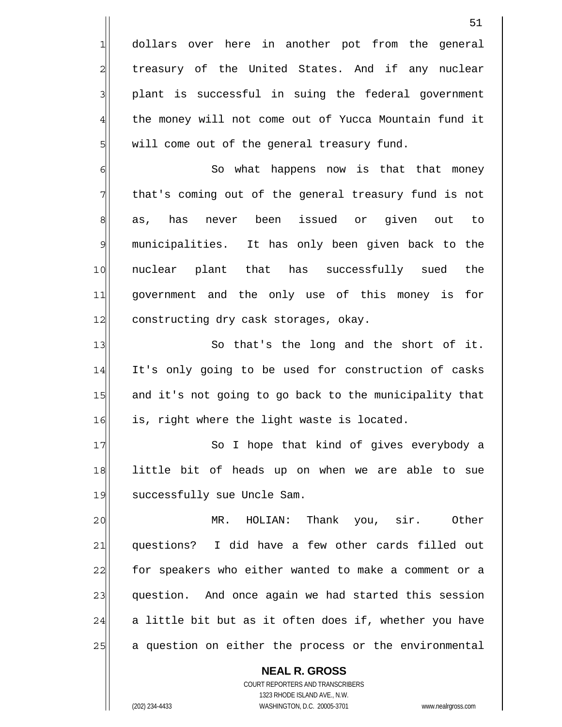dollars over here in another pot from the general treasury of the United States. And if any nuclear plant is successful in suing the federal government the money will not come out of Yucca Mountain fund it will come out of the general treasury fund.

6 7 8 9 10 11 12 So what happens now is that that money that's coming out of the general treasury fund is not as, has never been issued or given out to municipalities. It has only been given back to the nuclear plant that has successfully sued the government and the only use of this money is for constructing dry cask storages, okay.

13 14 15 16 So that's the long and the short of it. It's only going to be used for construction of casks and it's not going to go back to the municipality that is, right where the light waste is located.

17 18 19 So I hope that kind of gives everybody a little bit of heads up on when we are able to sue successfully sue Uncle Sam.

20 21 22 23 24 25 MR. HOLIAN: Thank you, sir. Other questions? I did have a few other cards filled out for speakers who either wanted to make a comment or a question. And once again we had started this session a little bit but as it often does if, whether you have a question on either the process or the environmental

**NEAL R. GROSS** COURT REPORTERS AND TRANSCRIBERS 1323 RHODE ISLAND AVE., N.W. (202) 234-4433 WASHINGTON, D.C. 20005-3701 www.nealrgross.com

1

2

3

4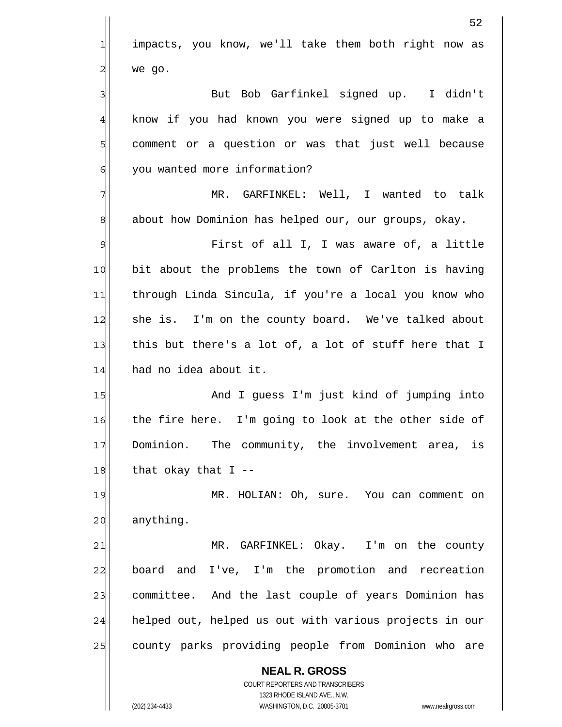|                | 52                                                                                                  |
|----------------|-----------------------------------------------------------------------------------------------------|
| $\mathbf{1}$   | impacts, you know, we'll take them both right now as                                                |
| $\overline{a}$ | we go.                                                                                              |
| $\mathbf{3}$   | But Bob Garfinkel signed up. I didn't                                                               |
| $\overline{4}$ | know if you had known you were signed up to make a                                                  |
| 5              | comment or a question or was that just well because                                                 |
| $\epsilon$     | you wanted more information?                                                                        |
| 7              | MR. GARFINKEL: Well, I wanted to talk                                                               |
| $\,8\,$        | about how Dominion has helped our, our groups, okay.                                                |
| $\mathfrak{S}$ | First of all I, I was aware of, a little                                                            |
| 10             | bit about the problems the town of Carlton is having                                                |
| 11             | through Linda Sincula, if you're a local you know who                                               |
| 12             | she is. I'm on the county board. We've talked about                                                 |
| 13             | this but there's a lot of, a lot of stuff here that I                                               |
| 14             | had no idea about it.                                                                               |
| 15             | And I guess I'm just kind of jumping into                                                           |
| 16             | the fire here. I'm going to look at the other side of                                               |
| 17             | Dominion. The community, the involvement area, is                                                   |
| 18             | that okay that $I$ --                                                                               |
| 19             | MR. HOLIAN: Oh, sure. You can comment on                                                            |
| 20             | anything.                                                                                           |
| 21             | MR. GARFINKEL: Okay. I'm on the county                                                              |
| 22             | and I've, I'm the promotion and recreation<br>board                                                 |
| 23             | committee. And the last couple of years Dominion has                                                |
| 24             | helped out, helped us out with various projects in our                                              |
| 25             | county parks providing people from Dominion who are                                                 |
|                | <b>NEAL R. GROSS</b>                                                                                |
|                | COURT REPORTERS AND TRANSCRIBERS                                                                    |
|                | 1323 RHODE ISLAND AVE., N.W.<br>WASHINGTON, D.C. 20005-3701<br>(202) 234-4433<br>www.nealrgross.com |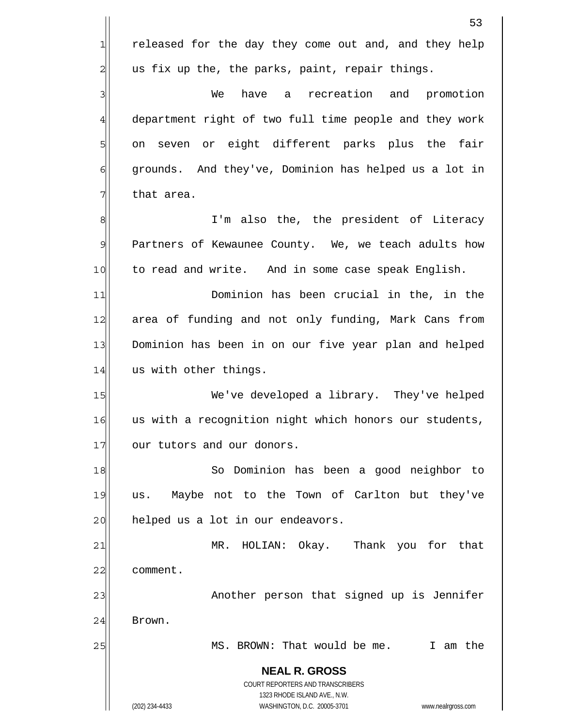**NEAL R. GROSS** COURT REPORTERS AND TRANSCRIBERS 1323 RHODE ISLAND AVE., N.W. (202) 234-4433 WASHINGTON, D.C. 20005-3701 www.nealrgross.com 1 2 3 4 5 6 7 8 9 10 11 12 13 14 15 16 17 18 19 20 21 22 23 24 25 released for the day they come out and, and they help us fix up the, the parks, paint, repair things. We have a recreation and promotion department right of two full time people and they work on seven or eight different parks plus the fair grounds. And they've, Dominion has helped us a lot in that area. I'm also the, the president of Literacy Partners of Kewaunee County. We, we teach adults how to read and write. And in some case speak English. Dominion has been crucial in the, in the area of funding and not only funding, Mark Cans from Dominion has been in on our five year plan and helped us with other things. We've developed a library. They've helped us with a recognition night which honors our students, our tutors and our donors. So Dominion has been a good neighbor to us. Maybe not to the Town of Carlton but they've helped us a lot in our endeavors. MR. HOLIAN: Okay. Thank you for that comment. Another person that signed up is Jennifer Brown. MS. BROWN: That would be me. I am the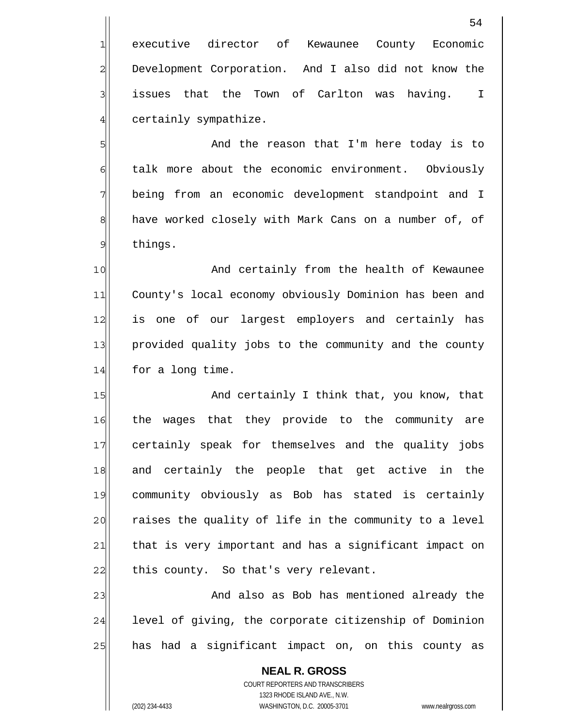executive director of Kewaunee County Economic Development Corporation. And I also did not know the issues that the Town of Carlton was having. I certainly sympathize.

 And the reason that I'm here today is to talk more about the economic environment. Obviously being from an economic development standpoint and I have worked closely with Mark Cans on a number of, of things.

10 11 12 13 14 And certainly from the health of Kewaunee County's local economy obviously Dominion has been and is one of our largest employers and certainly has provided quality jobs to the community and the county for a long time.

15 16 17 18 19 20 21 22 And certainly I think that, you know, that the wages that they provide to the community are certainly speak for themselves and the quality jobs and certainly the people that get active in the community obviously as Bob has stated is certainly raises the quality of life in the community to a level that is very important and has a significant impact on this county. So that's very relevant.

23 24 25 And also as Bob has mentioned already the level of giving, the corporate citizenship of Dominion has had a significant impact on, on this county as

**NEAL R. GROSS** COURT REPORTERS AND TRANSCRIBERS 1323 RHODE ISLAND AVE., N.W. (202) 234-4433 WASHINGTON, D.C. 20005-3701 www.nealrgross.com

1

2

3

4

5

6

7

8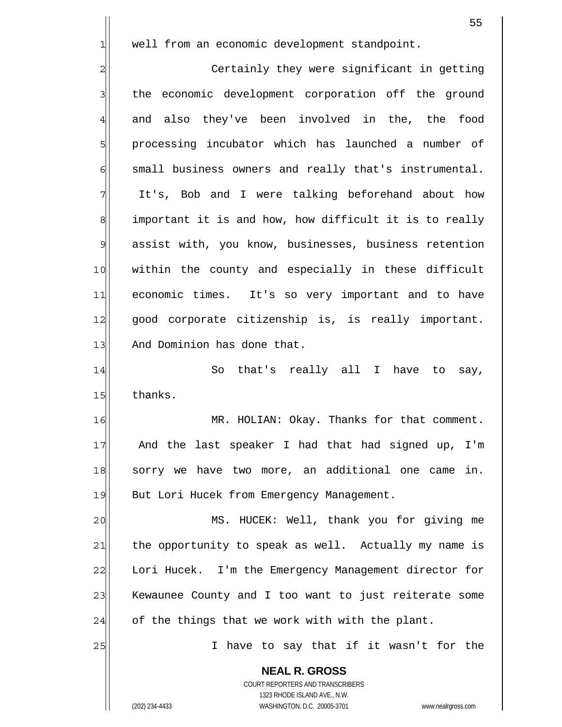well from an economic development standpoint.

1

2 3 4 5 6 7 8 9 10 11 12 13 Certainly they were significant in getting the economic development corporation off the ground and also they've been involved in the, the food processing incubator which has launched a number of small business owners and really that's instrumental. It's, Bob and I were talking beforehand about how important it is and how, how difficult it is to really assist with, you know, businesses, business retention within the county and especially in these difficult economic times. It's so very important and to have good corporate citizenship is, is really important. And Dominion has done that.

14 15 So that's really all I have to say, thanks.

16 17 18 19 MR. HOLIAN: Okay. Thanks for that comment. And the last speaker I had that had signed up, I'm sorry we have two more, an additional one came in. But Lori Hucek from Emergency Management.

20 21 22 23 24 MS. HUCEK: Well, thank you for giving me the opportunity to speak as well. Actually my name is Lori Hucek. I'm the Emergency Management director for Kewaunee County and I too want to just reiterate some of the things that we work with with the plant.

> **NEAL R. GROSS** COURT REPORTERS AND TRANSCRIBERS 1323 RHODE ISLAND AVE., N.W.

I have to say that if it wasn't for the

(202) 234-4433 WASHINGTON, D.C. 20005-3701 www.nealrgross.com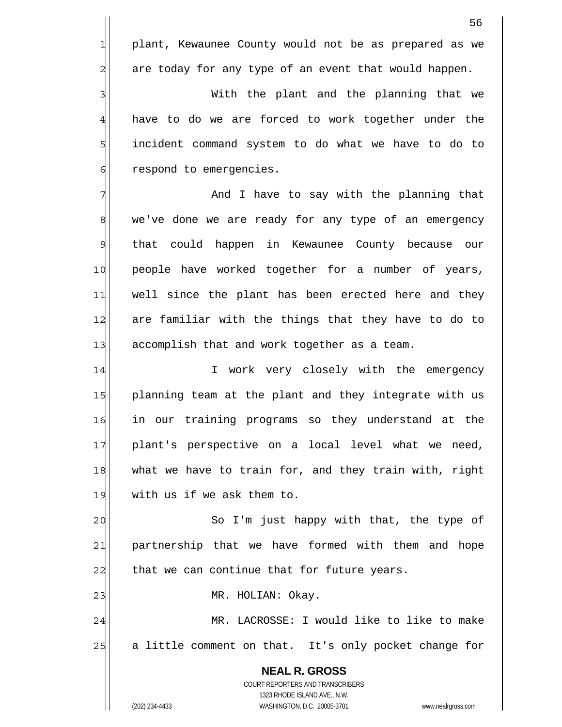plant, Kewaunee County would not be as prepared as we are today for any type of an event that would happen.

 With the plant and the planning that we have to do we are forced to work together under the incident command system to do what we have to do to respond to emergencies.

7 8 9 10 11 12 13 And I have to say with the planning that we've done we are ready for any type of an emergency that could happen in Kewaunee County because our people have worked together for a number of years, well since the plant has been erected here and they are familiar with the things that they have to do to accomplish that and work together as a team.

14 15 16 17 18 19 I work very closely with the emergency planning team at the plant and they integrate with us in our training programs so they understand at the plant's perspective on a local level what we need, what we have to train for, and they train with, right with us if we ask them to.

20 21 22 So I'm just happy with that, the type of partnership that we have formed with them and hope that we can continue that for future years.

MR. HOLIAN: Okay.

24 25 MR. LACROSSE: I would like to like to make a little comment on that. It's only pocket change for

**NEAL R. GROSS** COURT REPORTERS AND TRANSCRIBERS 1323 RHODE ISLAND AVE., N.W. (202) 234-4433 WASHINGTON, D.C. 20005-3701 www.nealrgross.com

23

1

2

3

4

5

6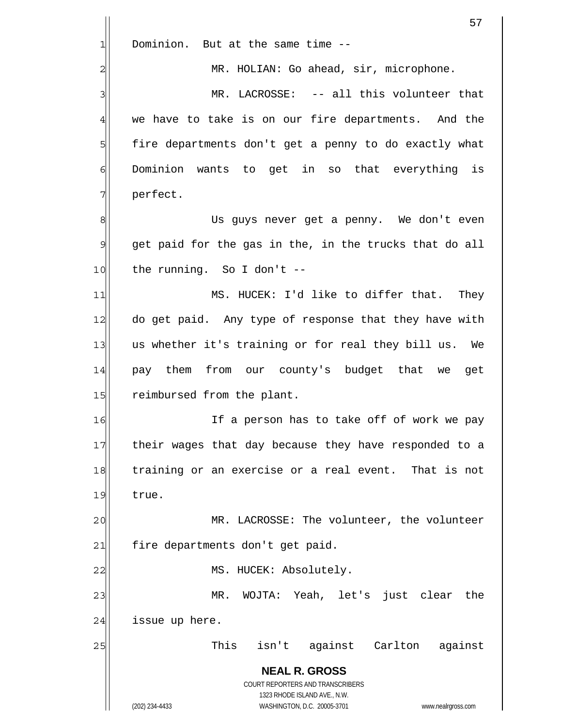|                | 57                                                                                                  |
|----------------|-----------------------------------------------------------------------------------------------------|
| 1              | Dominion. But at the same time --                                                                   |
| 2              | MR. HOLIAN: Go ahead, sir, microphone.                                                              |
| 3              | MR. LACROSSE: -- all this volunteer that                                                            |
| $\overline{4}$ | we have to take is on our fire departments. And the                                                 |
| 5              | fire departments don't get a penny to do exactly what                                               |
| 6              | Dominion wants to get in so that everything is                                                      |
| 7              | perfect.                                                                                            |
| 8              | Us guys never get a penny. We don't even                                                            |
| $\mathcal{Q}$  | get paid for the gas in the, in the trucks that do all                                              |
| 10             | the running. So I don't $-$                                                                         |
| 11             | MS. HUCEK: I'd like to differ that. They                                                            |
| 12             | do get paid. Any type of response that they have with                                               |
| 13             | us whether it's training or for real they bill us. We                                               |
| 14             | pay them from our county's budget that we get                                                       |
| 15             | reimbursed from the plant.                                                                          |
| 16             | If a person has to take off of work we pay                                                          |
| 17             | their wages that day because they have responded to a                                               |
| 18             | training or an exercise or a real event. That is not                                                |
| 19             | true.                                                                                               |
| 20             | MR. LACROSSE: The volunteer, the volunteer                                                          |
| 21             | fire departments don't get paid.                                                                    |
| 22             | MS. HUCEK: Absolutely.                                                                              |
| 23             | WOJTA: Yeah, let's just clear<br>the<br>$MR$ .                                                      |
| 24             | issue up here.                                                                                      |
| 25             | This isn't against Carlton against                                                                  |
|                | <b>NEAL R. GROSS</b>                                                                                |
|                | COURT REPORTERS AND TRANSCRIBERS                                                                    |
|                | 1323 RHODE ISLAND AVE., N.W.<br>(202) 234-4433<br>WASHINGTON, D.C. 20005-3701<br>www.nealrgross.com |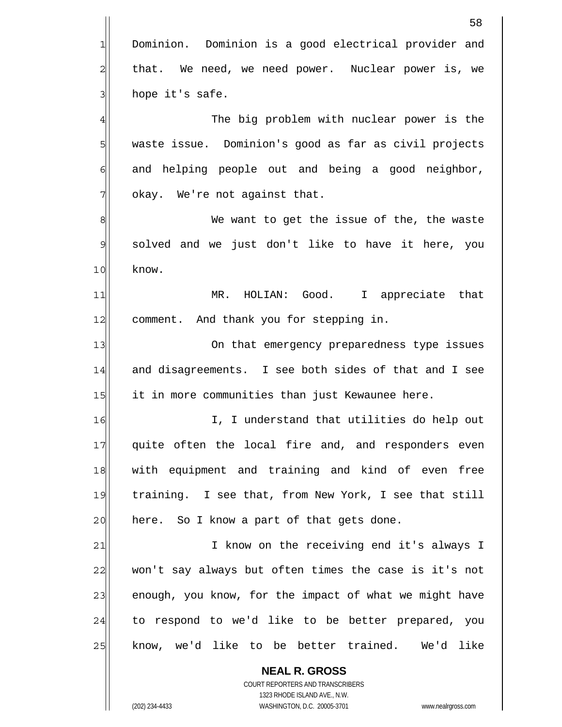|                | 58                                                                                                  |
|----------------|-----------------------------------------------------------------------------------------------------|
| 긔              | Dominion. Dominion is a good electrical provider and                                                |
| $\overline{c}$ | that. We need, we need power. Nuclear power is, we                                                  |
| 3              | hope it's safe.                                                                                     |
| $\overline{4}$ | The big problem with nuclear power is the                                                           |
| 5              | waste issue. Dominion's good as far as civil projects                                               |
| 6              | and helping people out and being a good neighbor,                                                   |
| 7              | okay. We're not against that.                                                                       |
| 8              | We want to get the issue of the, the waste                                                          |
| 9              | solved and we just don't like to have it here, you                                                  |
| 10             | know.                                                                                               |
| 11             | MR. HOLIAN: Good. I appreciate that                                                                 |
| 12             | comment. And thank you for stepping in.                                                             |
| 13             | On that emergency preparedness type issues                                                          |
| 14             | and disagreements. I see both sides of that and I see                                               |
| 15             | it in more communities than just Kewaunee here.                                                     |
| 16             | I, I understand that utilities do help out                                                          |
| 17             | quite often the local fire and, and responders even                                                 |
| 18             | with equipment and training and kind of even free                                                   |
| 19             | training. I see that, from New York, I see that still                                               |
| 20             | here. So I know a part of that gets done.                                                           |
| 21             | I know on the receiving end it's always I                                                           |
| 22             | won't say always but often times the case is it's not                                               |
| 23             | enough, you know, for the impact of what we might have                                              |
| 24             | to respond to we'd like to be better prepared, you                                                  |
| 25             | know, we'd like to be better trained. We'd like                                                     |
|                | <b>NEAL R. GROSS</b>                                                                                |
|                | COURT REPORTERS AND TRANSCRIBERS                                                                    |
|                | 1323 RHODE ISLAND AVE., N.W.<br>WASHINGTON, D.C. 20005-3701<br>(202) 234-4433<br>www.nealrgross.com |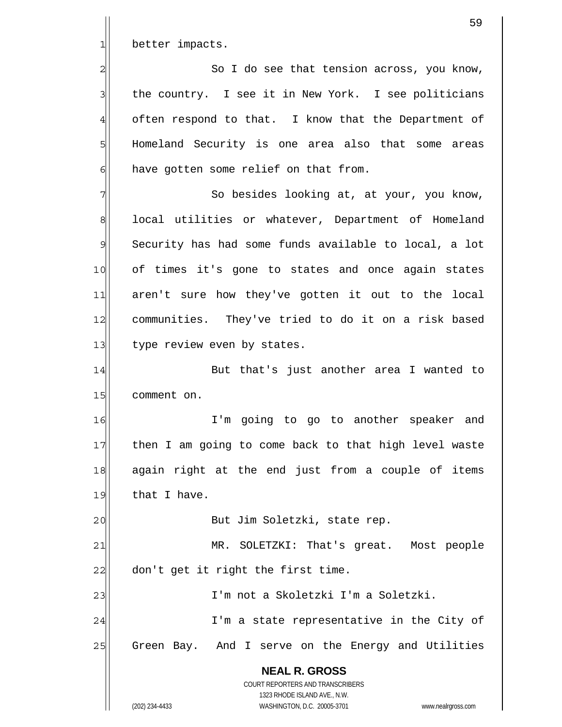better impacts.

1

2

3

4

5

6

20

 So I do see that tension across, you know, the country. I see it in New York. I see politicians often respond to that. I know that the Department of Homeland Security is one area also that some areas have gotten some relief on that from.

7 8 9 10 11 12 13 So besides looking at, at your, you know, local utilities or whatever, Department of Homeland Security has had some funds available to local, a lot of times it's gone to states and once again states aren't sure how they've gotten it out to the local communities. They've tried to do it on a risk based type review even by states.

14 15 But that's just another area I wanted to comment on.

16 17 18 19 I'm going to go to another speaker and then I am going to come back to that high level waste again right at the end just from a couple of items that I have.

But Jim Soletzki, state rep.

21 22 MR. SOLETZKI: That's great. Most people don't get it right the first time.

23 24 25 I'm not a Skoletzki I'm a Soletzki. I'm a state representative in the City of Green Bay. And I serve on the Energy and Utilities

> **NEAL R. GROSS** COURT REPORTERS AND TRANSCRIBERS 1323 RHODE ISLAND AVE., N.W. (202) 234-4433 WASHINGTON, D.C. 20005-3701 www.nealrgross.com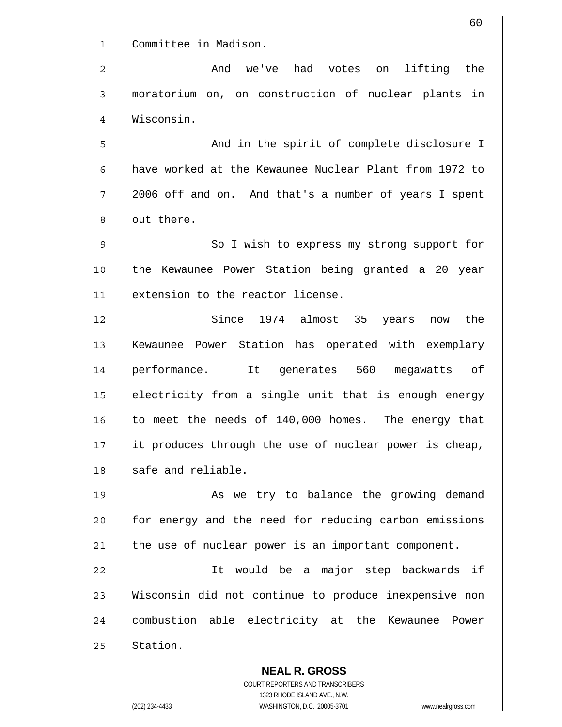**NEAL R. GROSS** 1 2 3 4 5 6 7 8 9 10 11 12 13 14 15 16 17 18 19 20 21 22 23 24 25 Committee in Madison. And we've had votes on lifting the moratorium on, on construction of nuclear plants in Wisconsin. And in the spirit of complete disclosure I have worked at the Kewaunee Nuclear Plant from 1972 to 2006 off and on. And that's a number of years I spent out there. So I wish to express my strong support for the Kewaunee Power Station being granted a 20 year extension to the reactor license. Since 1974 almost 35 years now the Kewaunee Power Station has operated with exemplary performance. It generates 560 megawatts of electricity from a single unit that is enough energy to meet the needs of 140,000 homes. The energy that it produces through the use of nuclear power is cheap, safe and reliable. As we try to balance the growing demand for energy and the need for reducing carbon emissions the use of nuclear power is an important component. It would be a major step backwards if Wisconsin did not continue to produce inexpensive non combustion able electricity at the Kewaunee Power Station.

> COURT REPORTERS AND TRANSCRIBERS 1323 RHODE ISLAND AVE., N.W.

(202) 234-4433 WASHINGTON, D.C. 20005-3701 www.nealrgross.com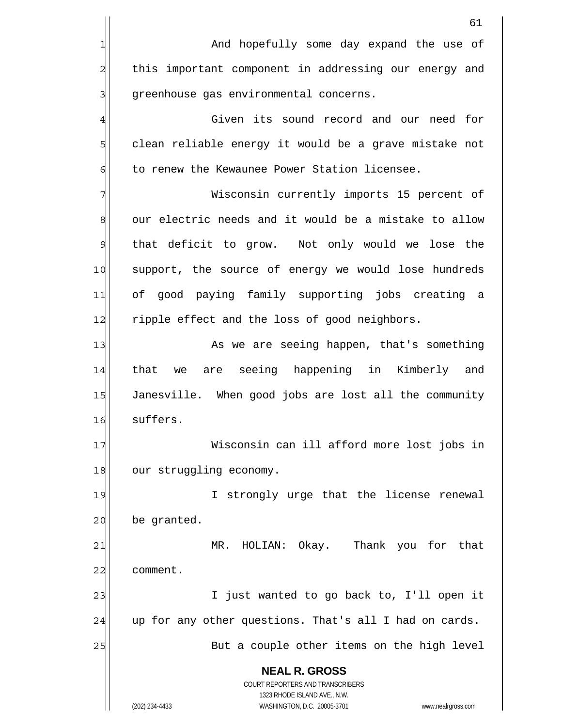|                | 61                                                                                                  |
|----------------|-----------------------------------------------------------------------------------------------------|
| 1              | And hopefully some day expand the use of                                                            |
| 2              | this important component in addressing our energy and                                               |
| 3              | greenhouse gas environmental concerns.                                                              |
| 4              | Given its sound record and our need for                                                             |
| 5              | clean reliable energy it would be a grave mistake not                                               |
| 6              | to renew the Kewaunee Power Station licensee.                                                       |
| 7              | Wisconsin currently imports 15 percent of                                                           |
| 8              | our electric needs and it would be a mistake to allow                                               |
| $\mathfrak{S}$ | that deficit to grow. Not only would we lose the                                                    |
| 10             | support, the source of energy we would lose hundreds                                                |
| 11             | of good paying family supporting jobs creating a                                                    |
| 12             | ripple effect and the loss of good neighbors.                                                       |
| 13             | As we are seeing happen, that's something                                                           |
| 14             | are seeing happening in Kimberly and<br>that we                                                     |
| 15             | Janesville. When good jobs are lost all the community                                               |
| 16             | suffers.                                                                                            |
| 17             | Wisconsin can ill afford more lost jobs in                                                          |
| 18             | our struggling economy.                                                                             |
| 19             | I strongly urge that the license renewal                                                            |
| 20             | be granted.                                                                                         |
| 21             | HOLIAN: Okay. Thank you for that<br>MR.                                                             |
| 22             | comment.                                                                                            |
| 23             | I just wanted to go back to, I'll open it                                                           |
| 24             | up for any other questions. That's all I had on cards.                                              |
| 25             | But a couple other items on the high level                                                          |
|                | <b>NEAL R. GROSS</b>                                                                                |
|                | COURT REPORTERS AND TRANSCRIBERS                                                                    |
|                | 1323 RHODE ISLAND AVE., N.W.<br>WASHINGTON, D.C. 20005-3701<br>(202) 234-4433<br>www.nealrgross.com |
|                |                                                                                                     |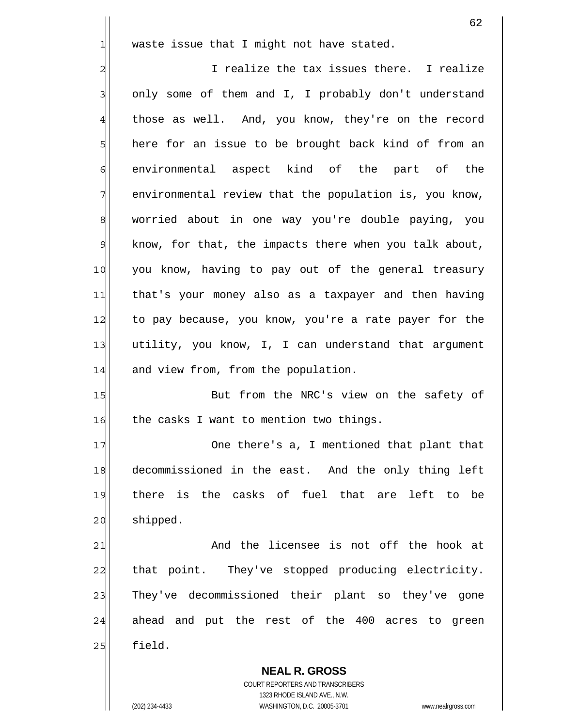waste issue that I might not have stated.

2 3 4 5 6 7 8 9 10 11 12 13 14 I realize the tax issues there. I realize only some of them and I, I probably don't understand those as well. And, you know, they're on the record here for an issue to be brought back kind of from an environmental aspect kind of the part of the environmental review that the population is, you know, worried about in one way you're double paying, you know, for that, the impacts there when you talk about, you know, having to pay out of the general treasury that's your money also as a taxpayer and then having to pay because, you know, you're a rate payer for the utility, you know, I, I can understand that argument and view from, from the population.

15 16 But from the NRC's view on the safety of the casks I want to mention two things.

17 18 19 20 One there's a, I mentioned that plant that decommissioned in the east. And the only thing left there is the casks of fuel that are left to be shipped.

21 22 23 24 25 And the licensee is not off the hook at that point. They've stopped producing electricity. They've decommissioned their plant so they've gone ahead and put the rest of the 400 acres to green field.

**NEAL R. GROSS** COURT REPORTERS AND TRANSCRIBERS 1323 RHODE ISLAND AVE., N.W. (202) 234-4433 WASHINGTON, D.C. 20005-3701 www.nealrgross.com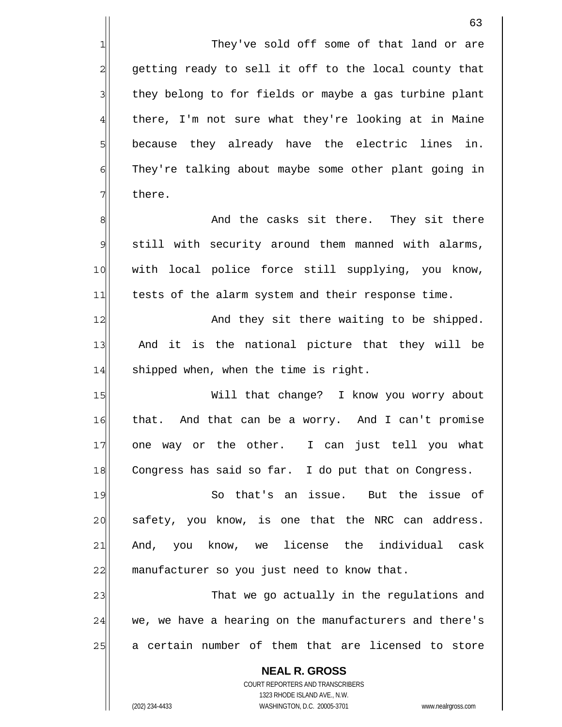They've sold off some of that land or are getting ready to sell it off to the local county that they belong to for fields or maybe a gas turbine plant there, I'm not sure what they're looking at in Maine because they already have the electric lines in. They're talking about maybe some other plant going in there.

8 9 10 11 And the casks sit there. They sit there still with security around them manned with alarms, with local police force still supplying, you know, tests of the alarm system and their response time.

12 13 14 And they sit there waiting to be shipped. And it is the national picture that they will be shipped when, when the time is right.

15 16 17 18 Will that change? I know you worry about that. And that can be a worry. And I can't promise one way or the other. I can just tell you what Congress has said so far. I do put that on Congress.

19 20 21 22 So that's an issue. But the issue of safety, you know, is one that the NRC can address. And, you know, we license the individual cask manufacturer so you just need to know that.

23 24 25 That we go actually in the regulations and we, we have a hearing on the manufacturers and there's a certain number of them that are licensed to store

COURT REPORTERS AND TRANSCRIBERS 1323 RHODE ISLAND AVE., N.W. (202) 234-4433 WASHINGTON, D.C. 20005-3701 www.nealrgross.com

**NEAL R. GROSS**

1

2

3

4

5

6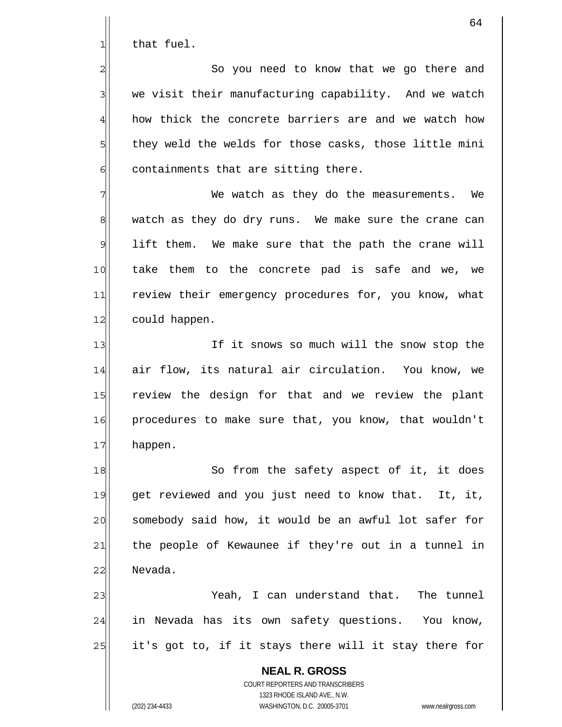that fuel.

1

2

3

4

5

6

 So you need to know that we go there and we visit their manufacturing capability. And we watch how thick the concrete barriers are and we watch how they weld the welds for those casks, those little mini containments that are sitting there.

7 8 9 10 11 12 We watch as they do the measurements. We watch as they do dry runs. We make sure the crane can lift them. We make sure that the path the crane will take them to the concrete pad is safe and we, we review their emergency procedures for, you know, what could happen.

13 14 15 16 17 If it snows so much will the snow stop the air flow, its natural air circulation. You know, we review the design for that and we review the plant procedures to make sure that, you know, that wouldn't happen.

18 19 20 21 22 So from the safety aspect of it, it does get reviewed and you just need to know that. It, it, somebody said how, it would be an awful lot safer for the people of Kewaunee if they're out in a tunnel in Nevada.

23 24 25 Yeah, I can understand that. The tunnel in Nevada has its own safety questions. You know, it's got to, if it stays there will it stay there for

**NEAL R. GROSS** COURT REPORTERS AND TRANSCRIBERS 1323 RHODE ISLAND AVE., N.W. (202) 234-4433 WASHINGTON, D.C. 20005-3701 www.nealrgross.com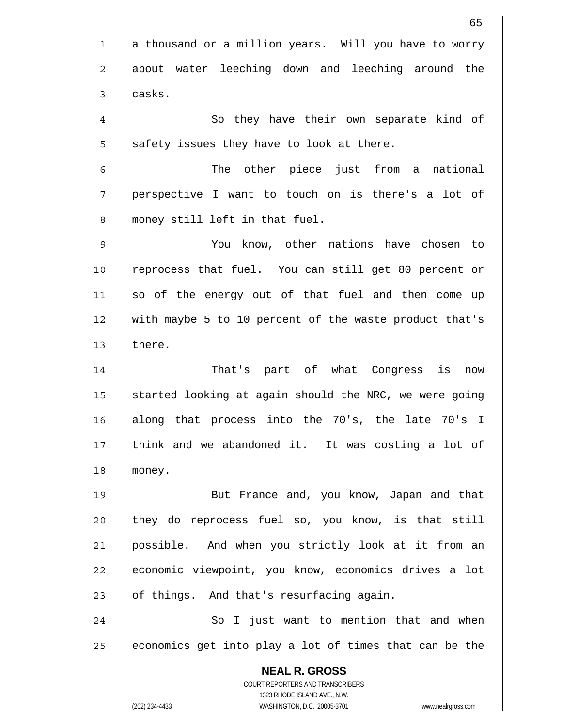**NEAL R. GROSS** COURT REPORTERS AND TRANSCRIBERS 1323 RHODE ISLAND AVE., N.W. 65 1 2 3 4 5 6 7 8 9 10 11 12 13 14 15 16 17 18 19 20 21 22 23 24 25 a thousand or a million years. Will you have to worry about water leeching down and leeching around the casks. So they have their own separate kind of safety issues they have to look at there. The other piece just from a national perspective I want to touch on is there's a lot of money still left in that fuel. You know, other nations have chosen to reprocess that fuel. You can still get 80 percent or so of the energy out of that fuel and then come up with maybe 5 to 10 percent of the waste product that's there. That's part of what Congress is now started looking at again should the NRC, we were going along that process into the 70's, the late 70's I think and we abandoned it. It was costing a lot of money. But France and, you know, Japan and that they do reprocess fuel so, you know, is that still possible. And when you strictly look at it from an economic viewpoint, you know, economics drives a lot of things. And that's resurfacing again. So I just want to mention that and when economics get into play a lot of times that can be the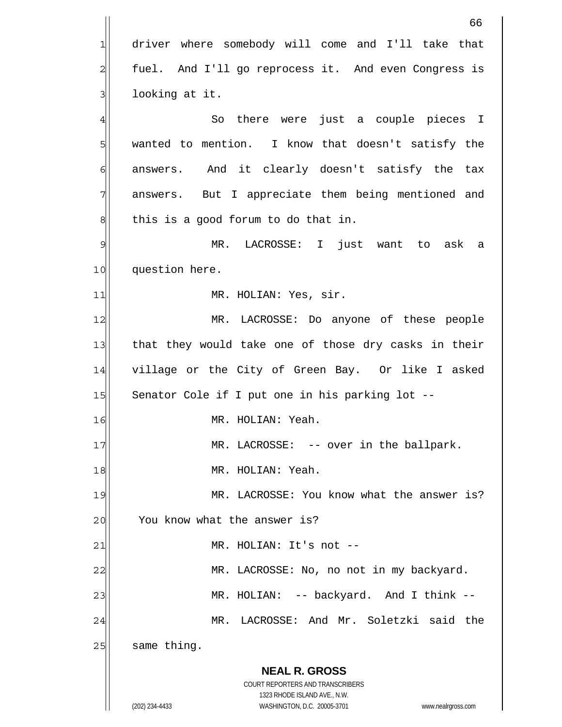|                | 66                                                                                                  |
|----------------|-----------------------------------------------------------------------------------------------------|
| 1              | driver where somebody will come and I'll take that                                                  |
| 2              | fuel. And I'll go reprocess it. And even Congress is                                                |
| 3              | looking at it.                                                                                      |
| 4              | there were just a couple pieces I<br>So                                                             |
| 5              | wanted to mention. I know that doesn't satisfy the                                                  |
| 6              | answers. And it clearly doesn't satisfy the tax                                                     |
| 7              | answers. But I appreciate them being mentioned and                                                  |
| 8              | this is a good forum to do that in.                                                                 |
| $\mathfrak{S}$ | MR. LACROSSE: I just want to ask a                                                                  |
| 10             | question here.                                                                                      |
| 11             | MR. HOLIAN: Yes, sir.                                                                               |
| 12             | MR. LACROSSE: Do anyone of these people                                                             |
| 13             | that they would take one of those dry casks in their                                                |
| 14             | village or the City of Green Bay. Or like I asked                                                   |
| 15             | Senator Cole if I put one in his parking lot --                                                     |
| 16             | MR. HOLIAN: Yeah.                                                                                   |
| 17             | MR. LACROSSE: -- over in the ballpark.                                                              |
| 18             | MR. HOLIAN: Yeah.                                                                                   |
| 19             | MR. LACROSSE: You know what the answer is?                                                          |
| 20             | You know what the answer is?                                                                        |
| 21             | MR. HOLIAN: It's not --                                                                             |
| 22             | MR. LACROSSE: No, no not in my backyard.                                                            |
| 23             | MR. HOLIAN: -- backyard. And I think --                                                             |
| 24             | MR. LACROSSE: And Mr. Soletzki said the                                                             |
| 25             | same thing.                                                                                         |
|                | <b>NEAL R. GROSS</b>                                                                                |
|                | COURT REPORTERS AND TRANSCRIBERS                                                                    |
|                | 1323 RHODE ISLAND AVE., N.W.<br>(202) 234-4433<br>WASHINGTON, D.C. 20005-3701<br>www.nealrgross.com |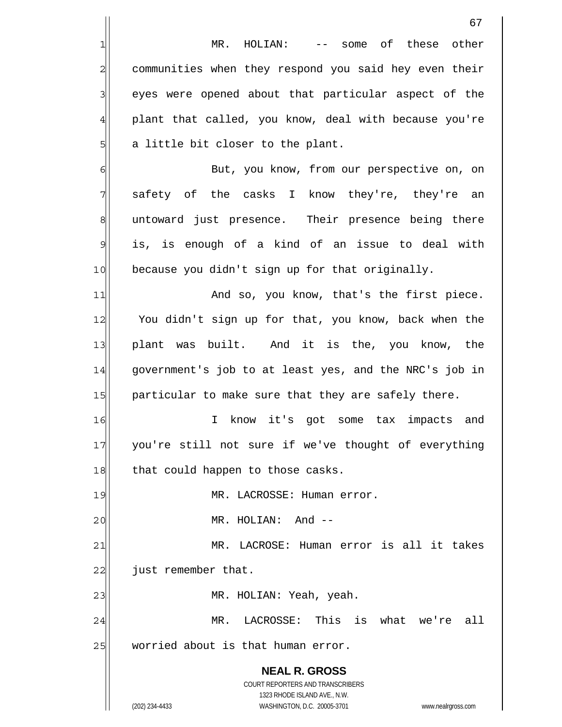|                | 67                                                                                                  |
|----------------|-----------------------------------------------------------------------------------------------------|
| 1              | some of these<br>MR. HOLIAN:<br>other<br>$--$                                                       |
| $\overline{c}$ | communities when they respond you said hey even their                                               |
| 3              | eyes were opened about that particular aspect of the                                                |
| $\overline{4}$ | plant that called, you know, deal with because you're                                               |
| 5              | a little bit closer to the plant.                                                                   |
| 6              | But, you know, from our perspective on, on                                                          |
| 7              | safety of the casks I know they're, they're an                                                      |
| 8              | untoward just presence. Their presence being there                                                  |
| $\overline{9}$ | is, is enough of a kind of an issue to deal with                                                    |
| 10             | because you didn't sign up for that originally.                                                     |
| 11             | And so, you know, that's the first piece.                                                           |
| 12             | You didn't sign up for that, you know, back when the                                                |
| 13             | plant was built. And it is the, you know, the                                                       |
| 14             | government's job to at least yes, and the NRC's job in                                              |
| 15             | particular to make sure that they are safely there.                                                 |
| 16             | know it's<br>got<br>some tax<br>impacts<br>I.<br>and                                                |
| 17             | you're still not sure if we've thought of everything                                                |
| 18             | that could happen to those casks.                                                                   |
| 19             | MR. LACROSSE: Human error.                                                                          |
| 20             | MR. HOLIAN: And --                                                                                  |
| 21             | MR. LACROSE: Human error is all it takes                                                            |
| 22             | just remember that.                                                                                 |
| 23             | MR. HOLIAN: Yeah, yeah.                                                                             |
| 24             | MR. LACROSSE: This is what we're all                                                                |
| 25             | worried about is that human error.                                                                  |
|                | <b>NEAL R. GROSS</b>                                                                                |
|                | <b>COURT REPORTERS AND TRANSCRIBERS</b>                                                             |
|                | 1323 RHODE ISLAND AVE., N.W.<br>(202) 234-4433<br>WASHINGTON, D.C. 20005-3701<br>www.nealrgross.com |
|                |                                                                                                     |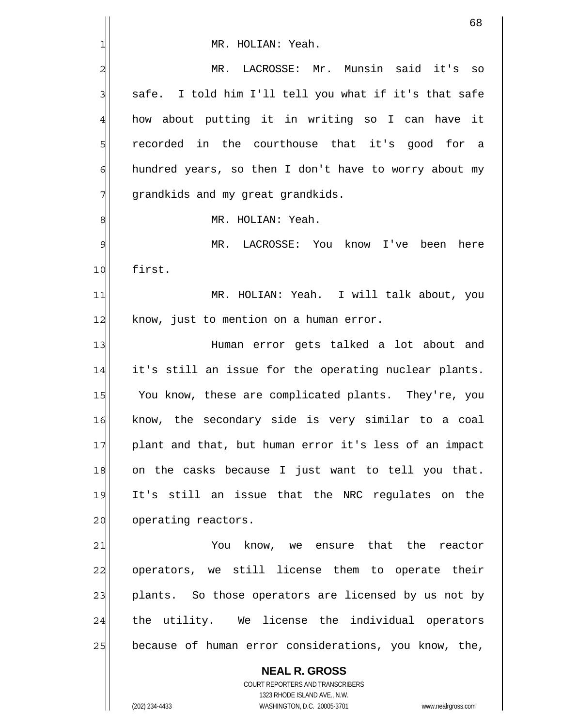|               | 68                                                                                                  |
|---------------|-----------------------------------------------------------------------------------------------------|
| 1             | MR. HOLIAN: Yeah.                                                                                   |
| 2             | LACROSSE: Mr. Munsin said it's<br>MR.<br>SO                                                         |
| 3             | safe. I told him I'll tell you what if it's that safe                                               |
| 4             | how about putting it in writing so I can have it                                                    |
| 5             | recorded in the courthouse that it's good for a                                                     |
| 6             | hundred years, so then I don't have to worry about my                                               |
| 7             | grandkids and my great grandkids.                                                                   |
| 8             | MR. HOLIAN: Yeah.                                                                                   |
| $\mathcal{Q}$ | LACROSSE: You know I've<br>MR.<br>been<br>here                                                      |
| 10            | first.                                                                                              |
| 11            | MR. HOLIAN: Yeah. I will talk about, you                                                            |
| 12            | know, just to mention on a human error.                                                             |
| 13            | Human error gets talked a lot about and                                                             |
| 14            | it's still an issue for the operating nuclear plants.                                               |
| 15            | You know, these are complicated plants. They're, you                                                |
| 16            | know, the secondary side is very similar to a coal                                                  |
| 17            | plant and that, but human error it's less of an impact                                              |
| 18            | on the casks because I just want to tell you that.                                                  |
| 19            | It's still an issue that the NRC regulates on the                                                   |
| 20            | operating reactors.                                                                                 |
| 21            | You know, we ensure that the<br>reactor                                                             |
| 22            | operators, we still license them to operate their                                                   |
| 23            | plants. So those operators are licensed by us not by                                                |
| 24            | the utility. We license the individual operators                                                    |
| 25            | because of human error considerations, you know, the,                                               |
|               | <b>NEAL R. GROSS</b>                                                                                |
|               | COURT REPORTERS AND TRANSCRIBERS                                                                    |
|               | 1323 RHODE ISLAND AVE., N.W.<br>(202) 234-4433<br>WASHINGTON, D.C. 20005-3701<br>www.nealrgross.com |